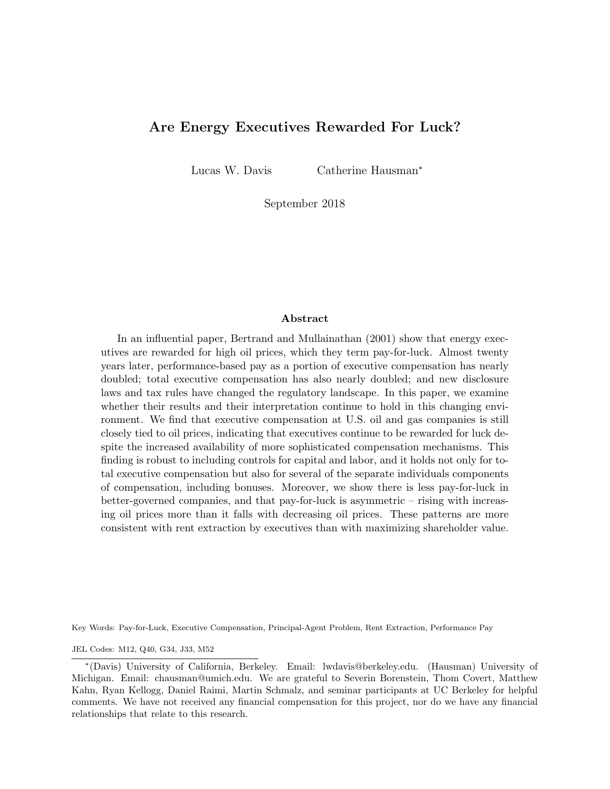## Are Energy Executives Rewarded For Luck?

Lucas W. Davis Catherine Hausman<sup>∗</sup>

September 2018

#### Abstract

In an influential paper, Bertrand and Mullainathan (2001) show that energy executives are rewarded for high oil prices, which they term pay-for-luck. Almost twenty years later, performance-based pay as a portion of executive compensation has nearly doubled; total executive compensation has also nearly doubled; and new disclosure laws and tax rules have changed the regulatory landscape. In this paper, we examine whether their results and their interpretation continue to hold in this changing environment. We find that executive compensation at U.S. oil and gas companies is still closely tied to oil prices, indicating that executives continue to be rewarded for luck despite the increased availability of more sophisticated compensation mechanisms. This finding is robust to including controls for capital and labor, and it holds not only for total executive compensation but also for several of the separate individuals components of compensation, including bonuses. Moreover, we show there is less pay-for-luck in better-governed companies, and that pay-for-luck is asymmetric – rising with increasing oil prices more than it falls with decreasing oil prices. These patterns are more consistent with rent extraction by executives than with maximizing shareholder value.

Key Words: Pay-for-Luck, Executive Compensation, Principal-Agent Problem, Rent Extraction, Performance Pay

JEL Codes: M12, Q40, G34, J33, M52

<sup>∗</sup> (Davis) University of California, Berkeley. Email: lwdavis@berkeley.edu. (Hausman) University of Michigan. Email: chausman@umich.edu. We are grateful to Severin Borenstein, Thom Covert, Matthew Kahn, Ryan Kellogg, Daniel Raimi, Martin Schmalz, and seminar participants at UC Berkeley for helpful comments. We have not received any financial compensation for this project, nor do we have any financial relationships that relate to this research.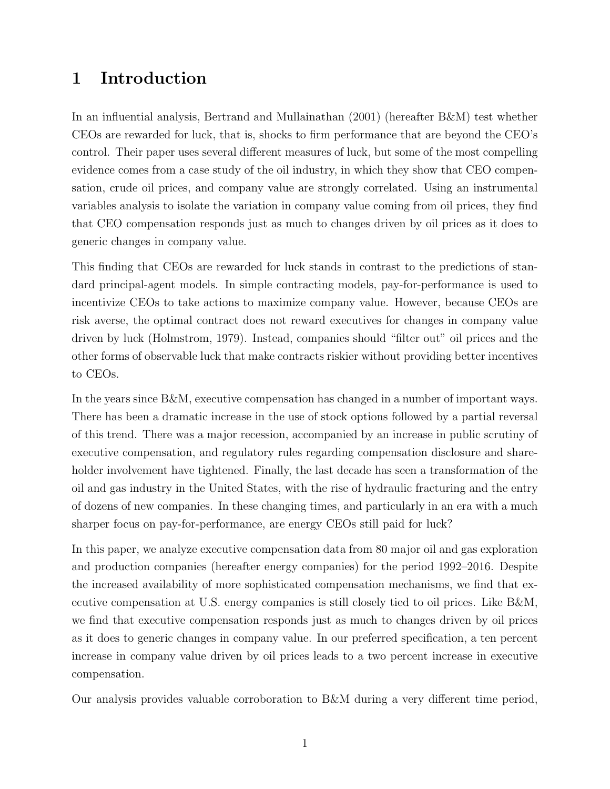# 1 Introduction

In an influential analysis, Bertrand and Mullainathan (2001) (hereafter B&M) test whether CEOs are rewarded for luck, that is, shocks to firm performance that are beyond the CEO's control. Their paper uses several different measures of luck, but some of the most compelling evidence comes from a case study of the oil industry, in which they show that CEO compensation, crude oil prices, and company value are strongly correlated. Using an instrumental variables analysis to isolate the variation in company value coming from oil prices, they find that CEO compensation responds just as much to changes driven by oil prices as it does to generic changes in company value.

This finding that CEOs are rewarded for luck stands in contrast to the predictions of standard principal-agent models. In simple contracting models, pay-for-performance is used to incentivize CEOs to take actions to maximize company value. However, because CEOs are risk averse, the optimal contract does not reward executives for changes in company value driven by luck (Holmstrom, 1979). Instead, companies should "filter out" oil prices and the other forms of observable luck that make contracts riskier without providing better incentives to CEOs.

In the years since B&M, executive compensation has changed in a number of important ways. There has been a dramatic increase in the use of stock options followed by a partial reversal of this trend. There was a major recession, accompanied by an increase in public scrutiny of executive compensation, and regulatory rules regarding compensation disclosure and shareholder involvement have tightened. Finally, the last decade has seen a transformation of the oil and gas industry in the United States, with the rise of hydraulic fracturing and the entry of dozens of new companies. In these changing times, and particularly in an era with a much sharper focus on pay-for-performance, are energy CEOs still paid for luck?

In this paper, we analyze executive compensation data from 80 major oil and gas exploration and production companies (hereafter energy companies) for the period 1992–2016. Despite the increased availability of more sophisticated compensation mechanisms, we find that executive compensation at U.S. energy companies is still closely tied to oil prices. Like B&M, we find that executive compensation responds just as much to changes driven by oil prices as it does to generic changes in company value. In our preferred specification, a ten percent increase in company value driven by oil prices leads to a two percent increase in executive compensation.

Our analysis provides valuable corroboration to B&M during a very different time period,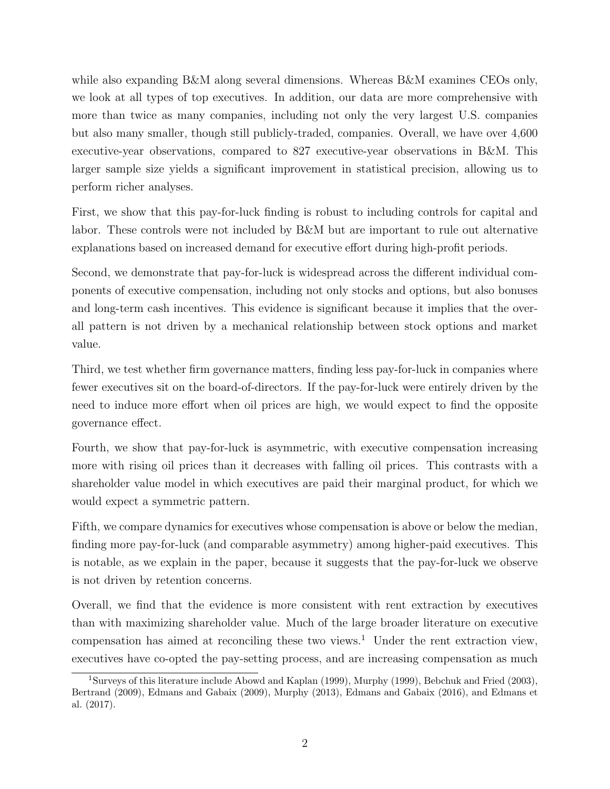while also expanding B&M along several dimensions. Whereas B&M examines CEOs only, we look at all types of top executives. In addition, our data are more comprehensive with more than twice as many companies, including not only the very largest U.S. companies but also many smaller, though still publicly-traded, companies. Overall, we have over 4,600 executive-year observations, compared to 827 executive-year observations in B&M. This larger sample size yields a significant improvement in statistical precision, allowing us to perform richer analyses.

First, we show that this pay-for-luck finding is robust to including controls for capital and labor. These controls were not included by B&M but are important to rule out alternative explanations based on increased demand for executive effort during high-profit periods.

Second, we demonstrate that pay-for-luck is widespread across the different individual components of executive compensation, including not only stocks and options, but also bonuses and long-term cash incentives. This evidence is significant because it implies that the overall pattern is not driven by a mechanical relationship between stock options and market value.

Third, we test whether firm governance matters, finding less pay-for-luck in companies where fewer executives sit on the board-of-directors. If the pay-for-luck were entirely driven by the need to induce more effort when oil prices are high, we would expect to find the opposite governance effect.

Fourth, we show that pay-for-luck is asymmetric, with executive compensation increasing more with rising oil prices than it decreases with falling oil prices. This contrasts with a shareholder value model in which executives are paid their marginal product, for which we would expect a symmetric pattern.

Fifth, we compare dynamics for executives whose compensation is above or below the median, finding more pay-for-luck (and comparable asymmetry) among higher-paid executives. This is notable, as we explain in the paper, because it suggests that the pay-for-luck we observe is not driven by retention concerns.

Overall, we find that the evidence is more consistent with rent extraction by executives than with maximizing shareholder value. Much of the large broader literature on executive compensation has aimed at reconciling these two views.<sup>1</sup> Under the rent extraction view, executives have co-opted the pay-setting process, and are increasing compensation as much

<sup>&</sup>lt;sup>1</sup>Surveys of this literature include Abowd and Kaplan (1999), Murphy (1999), Bebchuk and Fried (2003), Bertrand (2009), Edmans and Gabaix (2009), Murphy (2013), Edmans and Gabaix (2016), and Edmans et al. (2017).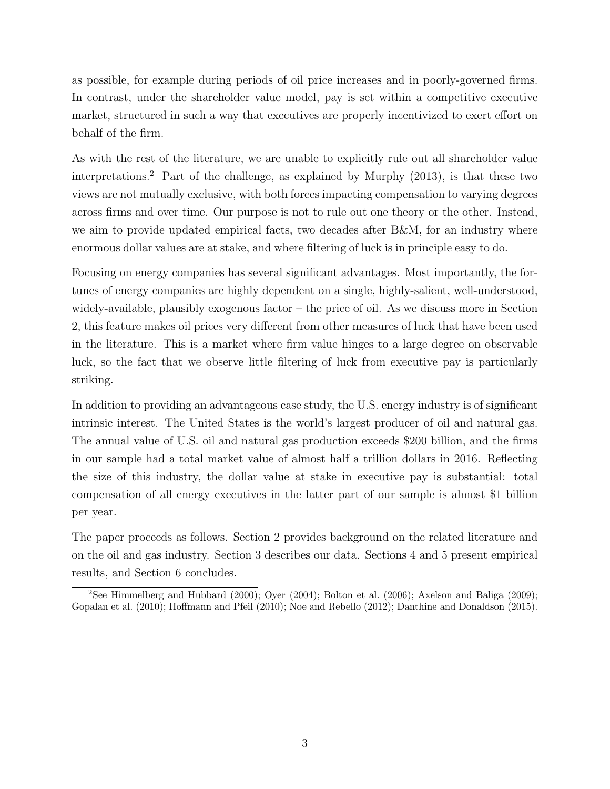as possible, for example during periods of oil price increases and in poorly-governed firms. In contrast, under the shareholder value model, pay is set within a competitive executive market, structured in such a way that executives are properly incentivized to exert effort on behalf of the firm.

As with the rest of the literature, we are unable to explicitly rule out all shareholder value interpretations.<sup>2</sup> Part of the challenge, as explained by Murphy  $(2013)$ , is that these two views are not mutually exclusive, with both forces impacting compensation to varying degrees across firms and over time. Our purpose is not to rule out one theory or the other. Instead, we aim to provide updated empirical facts, two decades after B&M, for an industry where enormous dollar values are at stake, and where filtering of luck is in principle easy to do.

Focusing on energy companies has several significant advantages. Most importantly, the fortunes of energy companies are highly dependent on a single, highly-salient, well-understood, widely-available, plausibly exogenous factor – the price of oil. As we discuss more in Section 2, this feature makes oil prices very different from other measures of luck that have been used in the literature. This is a market where firm value hinges to a large degree on observable luck, so the fact that we observe little filtering of luck from executive pay is particularly striking.

In addition to providing an advantageous case study, the U.S. energy industry is of significant intrinsic interest. The United States is the world's largest producer of oil and natural gas. The annual value of U.S. oil and natural gas production exceeds \$200 billion, and the firms in our sample had a total market value of almost half a trillion dollars in 2016. Reflecting the size of this industry, the dollar value at stake in executive pay is substantial: total compensation of all energy executives in the latter part of our sample is almost \$1 billion per year.

The paper proceeds as follows. Section 2 provides background on the related literature and on the oil and gas industry. Section 3 describes our data. Sections 4 and 5 present empirical results, and Section 6 concludes.

<sup>&</sup>lt;sup>2</sup>See Himmelberg and Hubbard (2000); Oyer (2004); Bolton et al. (2006); Axelson and Baliga (2009); Gopalan et al. (2010); Hoffmann and Pfeil (2010); Noe and Rebello (2012); Danthine and Donaldson (2015).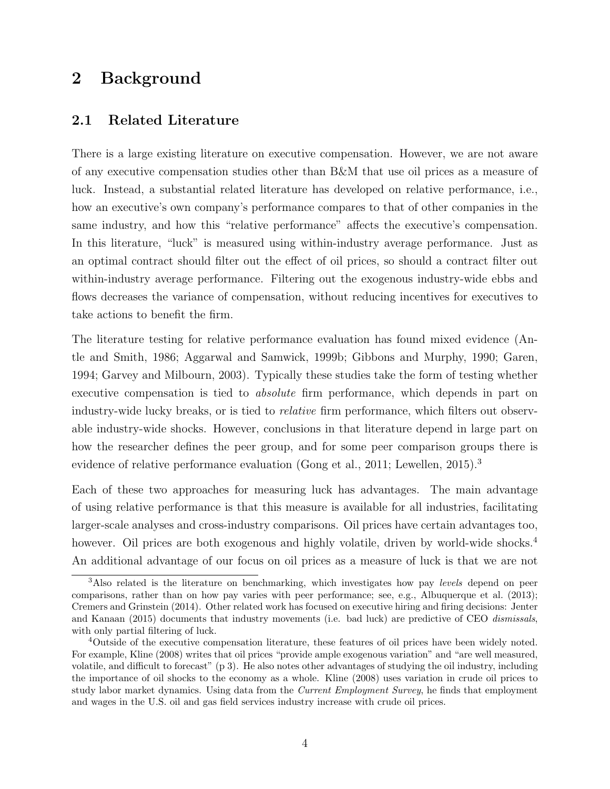# 2 Background

## 2.1 Related Literature

There is a large existing literature on executive compensation. However, we are not aware of any executive compensation studies other than B&M that use oil prices as a measure of luck. Instead, a substantial related literature has developed on relative performance, i.e., how an executive's own company's performance compares to that of other companies in the same industry, and how this "relative performance" affects the executive's compensation. In this literature, "luck" is measured using within-industry average performance. Just as an optimal contract should filter out the effect of oil prices, so should a contract filter out within-industry average performance. Filtering out the exogenous industry-wide ebbs and flows decreases the variance of compensation, without reducing incentives for executives to take actions to benefit the firm.

The literature testing for relative performance evaluation has found mixed evidence (Antle and Smith, 1986; Aggarwal and Samwick, 1999b; Gibbons and Murphy, 1990; Garen, 1994; Garvey and Milbourn, 2003). Typically these studies take the form of testing whether executive compensation is tied to *absolute* firm performance, which depends in part on industry-wide lucky breaks, or is tied to *relative* firm performance, which filters out observable industry-wide shocks. However, conclusions in that literature depend in large part on how the researcher defines the peer group, and for some peer comparison groups there is evidence of relative performance evaluation (Gong et al., 2011; Lewellen, 2015).<sup>3</sup>

Each of these two approaches for measuring luck has advantages. The main advantage of using relative performance is that this measure is available for all industries, facilitating larger-scale analyses and cross-industry comparisons. Oil prices have certain advantages too, however. Oil prices are both exogenous and highly volatile, driven by world-wide shocks.<sup>4</sup> An additional advantage of our focus on oil prices as a measure of luck is that we are not

<sup>&</sup>lt;sup>3</sup>Also related is the literature on benchmarking, which investigates how pay *levels* depend on peer comparisons, rather than on how pay varies with peer performance; see, e.g., Albuquerque et al. (2013); Cremers and Grinstein (2014). Other related work has focused on executive hiring and firing decisions: Jenter and Kanaan (2015) documents that industry movements (i.e. bad luck) are predictive of CEO dismissals, with only partial filtering of luck.

<sup>4</sup>Outside of the executive compensation literature, these features of oil prices have been widely noted. For example, Kline (2008) writes that oil prices "provide ample exogenous variation" and "are well measured, volatile, and difficult to forecast" (p 3). He also notes other advantages of studying the oil industry, including the importance of oil shocks to the economy as a whole. Kline (2008) uses variation in crude oil prices to study labor market dynamics. Using data from the *Current Employment Survey*, he finds that employment and wages in the U.S. oil and gas field services industry increase with crude oil prices.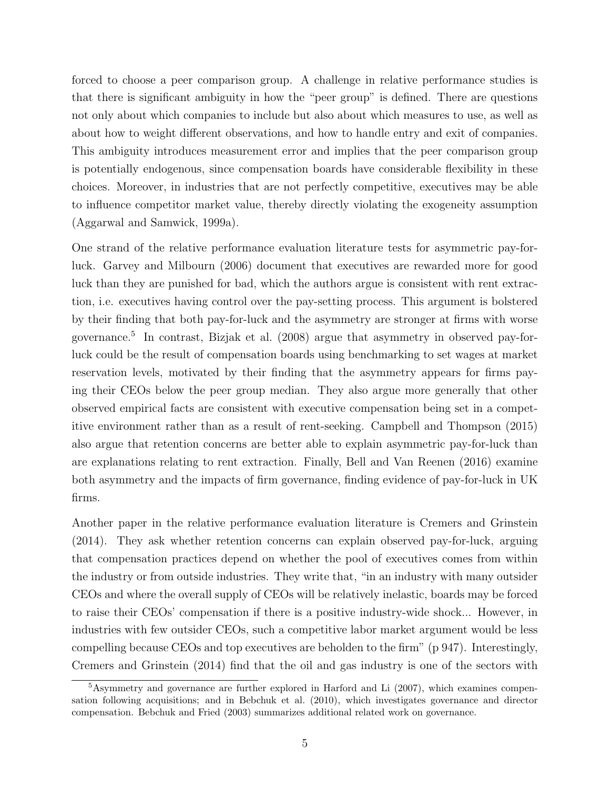forced to choose a peer comparison group. A challenge in relative performance studies is that there is significant ambiguity in how the "peer group" is defined. There are questions not only about which companies to include but also about which measures to use, as well as about how to weight different observations, and how to handle entry and exit of companies. This ambiguity introduces measurement error and implies that the peer comparison group is potentially endogenous, since compensation boards have considerable flexibility in these choices. Moreover, in industries that are not perfectly competitive, executives may be able to influence competitor market value, thereby directly violating the exogeneity assumption (Aggarwal and Samwick, 1999a).

One strand of the relative performance evaluation literature tests for asymmetric pay-forluck. Garvey and Milbourn (2006) document that executives are rewarded more for good luck than they are punished for bad, which the authors argue is consistent with rent extraction, i.e. executives having control over the pay-setting process. This argument is bolstered by their finding that both pay-for-luck and the asymmetry are stronger at firms with worse governance.<sup>5</sup> In contrast, Bizjak et al. (2008) argue that asymmetry in observed pay-forluck could be the result of compensation boards using benchmarking to set wages at market reservation levels, motivated by their finding that the asymmetry appears for firms paying their CEOs below the peer group median. They also argue more generally that other observed empirical facts are consistent with executive compensation being set in a competitive environment rather than as a result of rent-seeking. Campbell and Thompson (2015) also argue that retention concerns are better able to explain asymmetric pay-for-luck than are explanations relating to rent extraction. Finally, Bell and Van Reenen (2016) examine both asymmetry and the impacts of firm governance, finding evidence of pay-for-luck in UK firms.

Another paper in the relative performance evaluation literature is Cremers and Grinstein (2014). They ask whether retention concerns can explain observed pay-for-luck, arguing that compensation practices depend on whether the pool of executives comes from within the industry or from outside industries. They write that, "in an industry with many outsider CEOs and where the overall supply of CEOs will be relatively inelastic, boards may be forced to raise their CEOs' compensation if there is a positive industry-wide shock... However, in industries with few outsider CEOs, such a competitive labor market argument would be less compelling because CEOs and top executives are beholden to the firm" (p 947). Interestingly, Cremers and Grinstein (2014) find that the oil and gas industry is one of the sectors with

<sup>5</sup>Asymmetry and governance are further explored in Harford and Li (2007), which examines compensation following acquisitions; and in Bebchuk et al. (2010), which investigates governance and director compensation. Bebchuk and Fried (2003) summarizes additional related work on governance.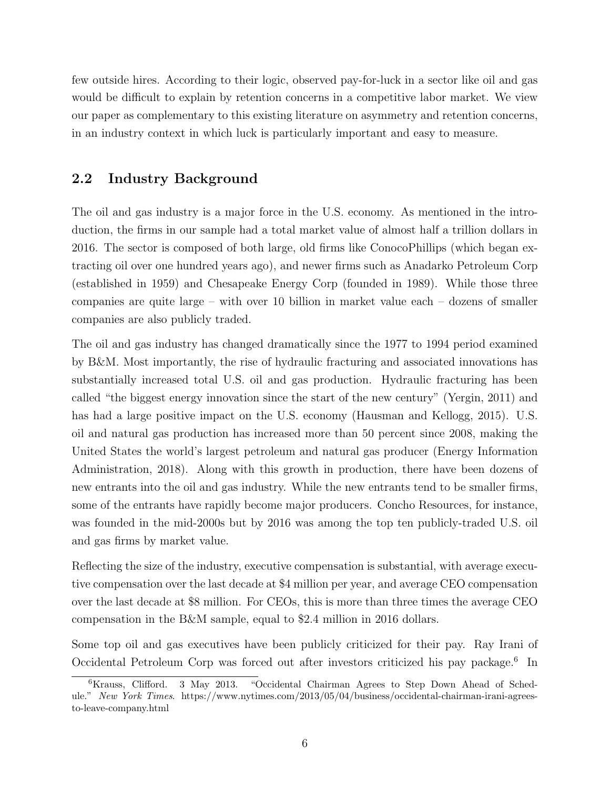few outside hires. According to their logic, observed pay-for-luck in a sector like oil and gas would be difficult to explain by retention concerns in a competitive labor market. We view our paper as complementary to this existing literature on asymmetry and retention concerns, in an industry context in which luck is particularly important and easy to measure.

## 2.2 Industry Background

The oil and gas industry is a major force in the U.S. economy. As mentioned in the introduction, the firms in our sample had a total market value of almost half a trillion dollars in 2016. The sector is composed of both large, old firms like ConocoPhillips (which began extracting oil over one hundred years ago), and newer firms such as Anadarko Petroleum Corp (established in 1959) and Chesapeake Energy Corp (founded in 1989). While those three companies are quite large – with over 10 billion in market value each – dozens of smaller companies are also publicly traded.

The oil and gas industry has changed dramatically since the 1977 to 1994 period examined by B&M. Most importantly, the rise of hydraulic fracturing and associated innovations has substantially increased total U.S. oil and gas production. Hydraulic fracturing has been called "the biggest energy innovation since the start of the new century" (Yergin, 2011) and has had a large positive impact on the U.S. economy (Hausman and Kellogg, 2015). U.S. oil and natural gas production has increased more than 50 percent since 2008, making the United States the world's largest petroleum and natural gas producer (Energy Information Administration, 2018). Along with this growth in production, there have been dozens of new entrants into the oil and gas industry. While the new entrants tend to be smaller firms, some of the entrants have rapidly become major producers. Concho Resources, for instance, was founded in the mid-2000s but by 2016 was among the top ten publicly-traded U.S. oil and gas firms by market value.

Reflecting the size of the industry, executive compensation is substantial, with average executive compensation over the last decade at \$4 million per year, and average CEO compensation over the last decade at \$8 million. For CEOs, this is more than three times the average CEO compensation in the B&M sample, equal to \$2.4 million in 2016 dollars.

Some top oil and gas executives have been publicly criticized for their pay. Ray Irani of Occidental Petroleum Corp was forced out after investors criticized his pay package.<sup>6</sup> In

<sup>6</sup>Krauss, Clifford. 3 May 2013. "Occidental Chairman Agrees to Step Down Ahead of Schedule." New York Times. https://www.nytimes.com/2013/05/04/business/occidental-chairman-irani-agreesto-leave-company.html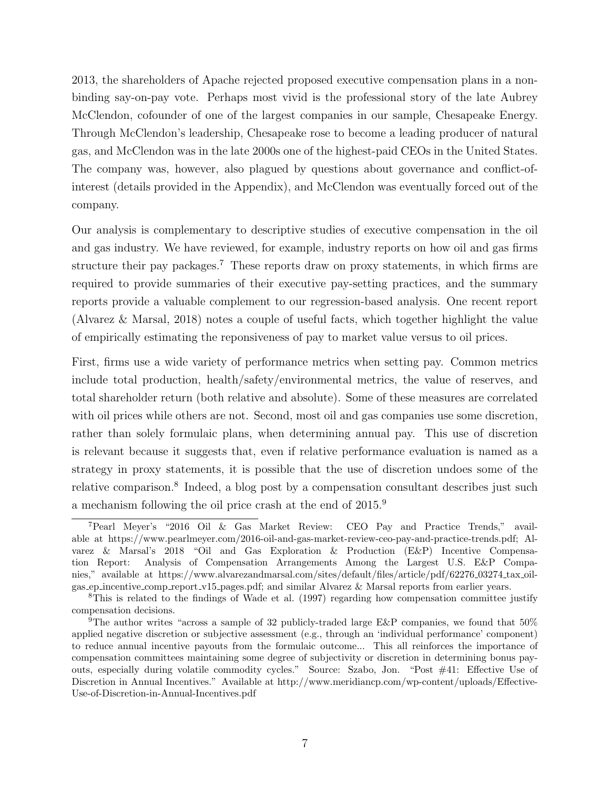2013, the shareholders of Apache rejected proposed executive compensation plans in a nonbinding say-on-pay vote. Perhaps most vivid is the professional story of the late Aubrey McClendon, cofounder of one of the largest companies in our sample, Chesapeake Energy. Through McClendon's leadership, Chesapeake rose to become a leading producer of natural gas, and McClendon was in the late 2000s one of the highest-paid CEOs in the United States. The company was, however, also plagued by questions about governance and conflict-ofinterest (details provided in the Appendix), and McClendon was eventually forced out of the company.

Our analysis is complementary to descriptive studies of executive compensation in the oil and gas industry. We have reviewed, for example, industry reports on how oil and gas firms structure their pay packages.<sup>7</sup> These reports draw on proxy statements, in which firms are required to provide summaries of their executive pay-setting practices, and the summary reports provide a valuable complement to our regression-based analysis. One recent report (Alvarez & Marsal, 2018) notes a couple of useful facts, which together highlight the value of empirically estimating the reponsiveness of pay to market value versus to oil prices.

First, firms use a wide variety of performance metrics when setting pay. Common metrics include total production, health/safety/environmental metrics, the value of reserves, and total shareholder return (both relative and absolute). Some of these measures are correlated with oil prices while others are not. Second, most oil and gas companies use some discretion, rather than solely formulaic plans, when determining annual pay. This use of discretion is relevant because it suggests that, even if relative performance evaluation is named as a strategy in proxy statements, it is possible that the use of discretion undoes some of the relative comparison.<sup>8</sup> Indeed, a blog post by a compensation consultant describes just such a mechanism following the oil price crash at the end of 2015.<sup>9</sup>

<sup>7</sup>Pearl Meyer's "2016 Oil & Gas Market Review: CEO Pay and Practice Trends," available at https://www.pearlmeyer.com/2016-oil-and-gas-market-review-ceo-pay-and-practice-trends.pdf; Alvarez & Marsal's 2018 "Oil and Gas Exploration & Production (E&P) Incentive Compensation Report: Analysis of Compensation Arrangements Among the Largest U.S. E&P Companies," available at https://www.alvarezandmarsal.com/sites/default/files/article/pdf/62276 03274 tax oilgas ep incentive comp report v15 pages.pdf; and similar Alvarez & Marsal reports from earlier years.

<sup>8</sup>This is related to the findings of Wade et al. (1997) regarding how compensation committee justify compensation decisions.

<sup>9</sup>The author writes "across a sample of 32 publicly-traded large E&P companies, we found that 50% applied negative discretion or subjective assessment (e.g., through an 'individual performance' component) to reduce annual incentive payouts from the formulaic outcome... This all reinforces the importance of compensation committees maintaining some degree of subjectivity or discretion in determining bonus payouts, especially during volatile commodity cycles." Source: Szabo, Jon. "Post #41: Effective Use of Discretion in Annual Incentives." Available at http://www.meridiancp.com/wp-content/uploads/Effective-Use-of-Discretion-in-Annual-Incentives.pdf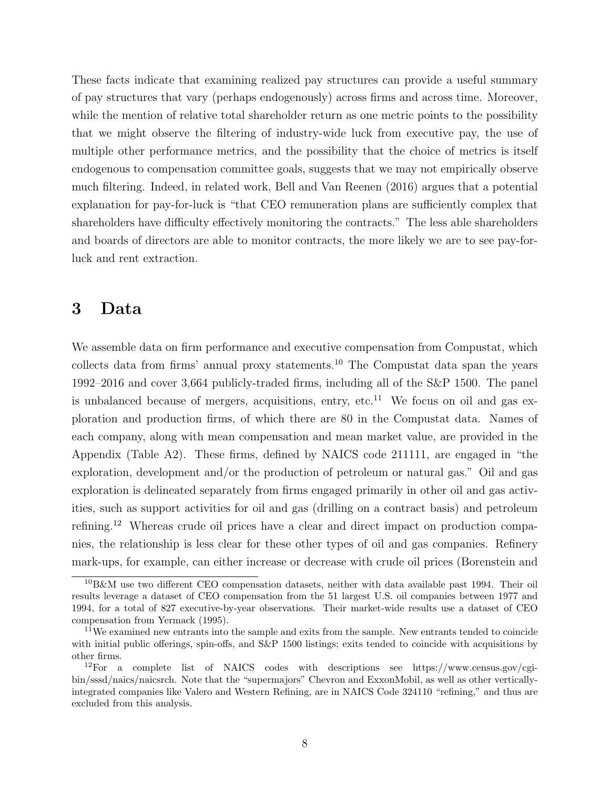These facts indicate that examining realized pay structures can provide a useful summary of pay structures that vary (perhaps endogenously) across firms and across time. Moreover, while the mention of relative total shareholder return as one metric points to the possibility that we might observe the filtering of industry-wide luck from executive pay, the use of multiple other performance metrics, and the possibility that the choice of metrics is itself endogenous to compensation committee goals, suggests that we may not empirically observe much filtering. Indeed, in related work, Bell and Van Reenen (2016) argues that a potential explanation for pay-for-luck is "that CEO remuneration plans are sufficiently complex that shareholders have difficulty effectively monitoring the contracts." The less able shareholders and boards of directors are able to monitor contracts, the more likely we are to see pay-forluck and rent extraction.

## 3 Data

We assemble data on firm performance and executive compensation from Compustat, which collects data from firms' annual proxy statements.<sup>10</sup> The Compustat data span the years 1992–2016 and cover 3,664 publicly-traded firms, including all of the S&P 1500. The panel is unbalanced because of mergers, acquisitions, entry, etc.<sup>11</sup> We focus on oil and gas exploration and production firms, of which there are 80 in the Compustat data. Names of each company, along with mean compensation and mean market value, are provided in the Appendix (Table A2). These firms, defined by NAICS code 211111, are engaged in "the exploration, development and/or the production of petroleum or natural gas." Oil and gas exploration is delineated separately from firms engaged primarily in other oil and gas activities, such as support activities for oil and gas (drilling on a contract basis) and petroleum refining.<sup>12</sup> Whereas crude oil prices have a clear and direct impact on production companies, the relationship is less clear for these other types of oil and gas companies. Refinery mark-ups, for example, can either increase or decrease with crude oil prices (Borenstein and

 ${}^{10}$ B&M use two different CEO compensation datasets, neither with data available past 1994. Their oil results leverage a dataset of CEO compensation from the 51 largest U.S. oil companies between 1977 and 1994, for a total of 827 executive-by-year observations. Their market-wide results use a dataset of CEO compensation from Yermack (1995).

<sup>&</sup>lt;sup>11</sup>We examined new entrants into the sample and exits from the sample. New entrants tended to coincide with initial public offerings, spin-offs, and S&P 1500 listings; exits tended to coincide with acquisitions by other firms.

 $12$ For a complete list of NAICS codes with descriptions see https://www.census.gov/cgibin/sssd/naics/naicsrch. Note that the "supermajors" Chevron and ExxonMobil, as well as other verticallyintegrated companies like Valero and Western Refining, are in NAICS Code 324110 "refining," and thus are excluded from this analysis.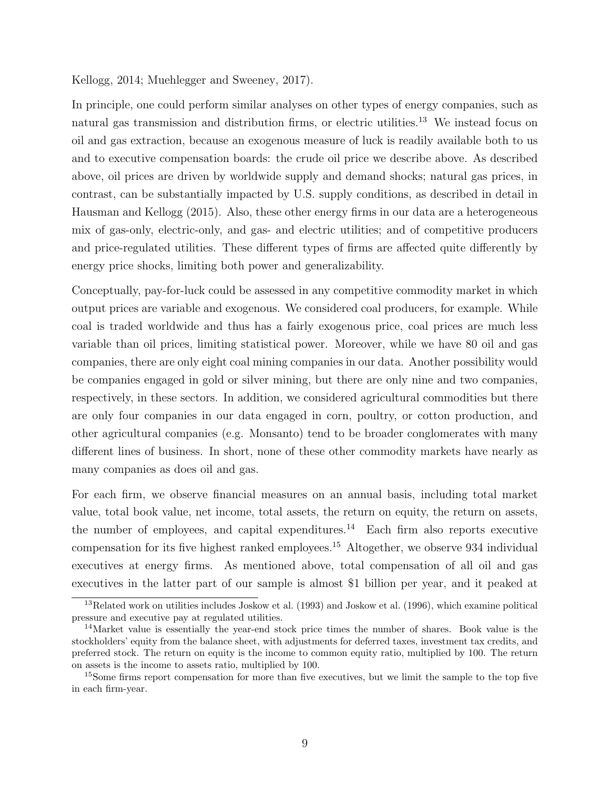Kellogg, 2014; Muehlegger and Sweeney, 2017).

In principle, one could perform similar analyses on other types of energy companies, such as natural gas transmission and distribution firms, or electric utilities.<sup>13</sup> We instead focus on oil and gas extraction, because an exogenous measure of luck is readily available both to us and to executive compensation boards: the crude oil price we describe above. As described above, oil prices are driven by worldwide supply and demand shocks; natural gas prices, in contrast, can be substantially impacted by U.S. supply conditions, as described in detail in Hausman and Kellogg (2015). Also, these other energy firms in our data are a heterogeneous mix of gas-only, electric-only, and gas- and electric utilities; and of competitive producers and price-regulated utilities. These different types of firms are affected quite differently by energy price shocks, limiting both power and generalizability.

Conceptually, pay-for-luck could be assessed in any competitive commodity market in which output prices are variable and exogenous. We considered coal producers, for example. While coal is traded worldwide and thus has a fairly exogenous price, coal prices are much less variable than oil prices, limiting statistical power. Moreover, while we have 80 oil and gas companies, there are only eight coal mining companies in our data. Another possibility would be companies engaged in gold or silver mining, but there are only nine and two companies, respectively, in these sectors. In addition, we considered agricultural commodities but there are only four companies in our data engaged in corn, poultry, or cotton production, and other agricultural companies (e.g. Monsanto) tend to be broader conglomerates with many different lines of business. In short, none of these other commodity markets have nearly as many companies as does oil and gas.

For each firm, we observe financial measures on an annual basis, including total market value, total book value, net income, total assets, the return on equity, the return on assets, the number of employees, and capital expenditures.<sup>14</sup> Each firm also reports executive compensation for its five highest ranked employees.<sup>15</sup> Altogether, we observe 934 individual executives at energy firms. As mentioned above, total compensation of all oil and gas executives in the latter part of our sample is almost \$1 billion per year, and it peaked at

 $13$ Related work on utilities includes Joskow et al. (1993) and Joskow et al. (1996), which examine political pressure and executive pay at regulated utilities.

<sup>14</sup>Market value is essentially the year-end stock price times the number of shares. Book value is the stockholders' equity from the balance sheet, with adjustments for deferred taxes, investment tax credits, and preferred stock. The return on equity is the income to common equity ratio, multiplied by 100. The return on assets is the income to assets ratio, multiplied by 100.

<sup>&</sup>lt;sup>15</sup>Some firms report compensation for more than five executives, but we limit the sample to the top five in each firm-year.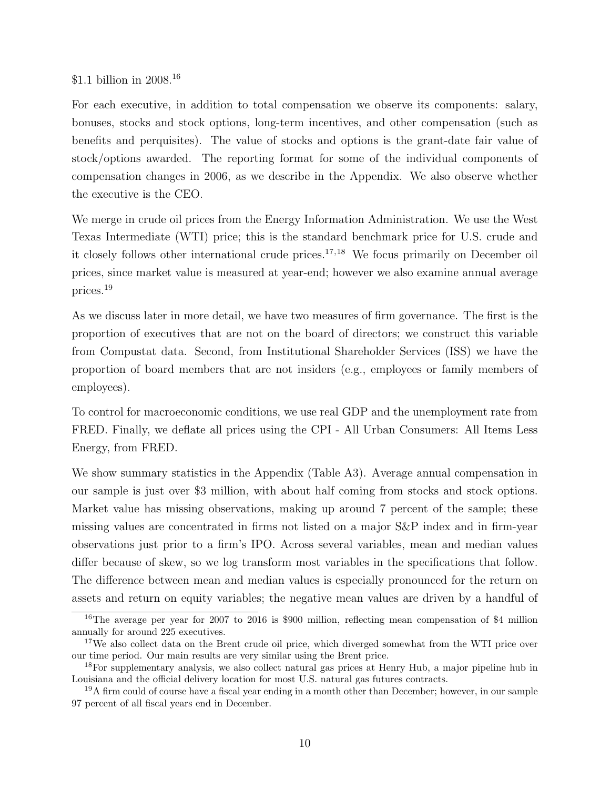#### \$1.1 billion in 2008.<sup>16</sup>

For each executive, in addition to total compensation we observe its components: salary, bonuses, stocks and stock options, long-term incentives, and other compensation (such as benefits and perquisites). The value of stocks and options is the grant-date fair value of stock/options awarded. The reporting format for some of the individual components of compensation changes in 2006, as we describe in the Appendix. We also observe whether the executive is the CEO.

We merge in crude oil prices from the Energy Information Administration. We use the West Texas Intermediate (WTI) price; this is the standard benchmark price for U.S. crude and it closely follows other international crude prices.<sup>17,18</sup> We focus primarily on December oil prices, since market value is measured at year-end; however we also examine annual average prices.<sup>19</sup>

As we discuss later in more detail, we have two measures of firm governance. The first is the proportion of executives that are not on the board of directors; we construct this variable from Compustat data. Second, from Institutional Shareholder Services (ISS) we have the proportion of board members that are not insiders (e.g., employees or family members of employees).

To control for macroeconomic conditions, we use real GDP and the unemployment rate from FRED. Finally, we deflate all prices using the CPI - All Urban Consumers: All Items Less Energy, from FRED.

We show summary statistics in the Appendix (Table A3). Average annual compensation in our sample is just over \$3 million, with about half coming from stocks and stock options. Market value has missing observations, making up around 7 percent of the sample; these missing values are concentrated in firms not listed on a major S&P index and in firm-year observations just prior to a firm's IPO. Across several variables, mean and median values differ because of skew, so we log transform most variables in the specifications that follow. The difference between mean and median values is especially pronounced for the return on assets and return on equity variables; the negative mean values are driven by a handful of

<sup>16</sup>The average per year for 2007 to 2016 is \$900 million, reflecting mean compensation of \$4 million annually for around 225 executives.

<sup>&</sup>lt;sup>17</sup>We also collect data on the Brent crude oil price, which diverged somewhat from the WTI price over our time period. Our main results are very similar using the Brent price.

<sup>18</sup>For supplementary analysis, we also collect natural gas prices at Henry Hub, a major pipeline hub in Louisiana and the official delivery location for most U.S. natural gas futures contracts.

<sup>&</sup>lt;sup>19</sup>A firm could of course have a fiscal year ending in a month other than December; however, in our sample 97 percent of all fiscal years end in December.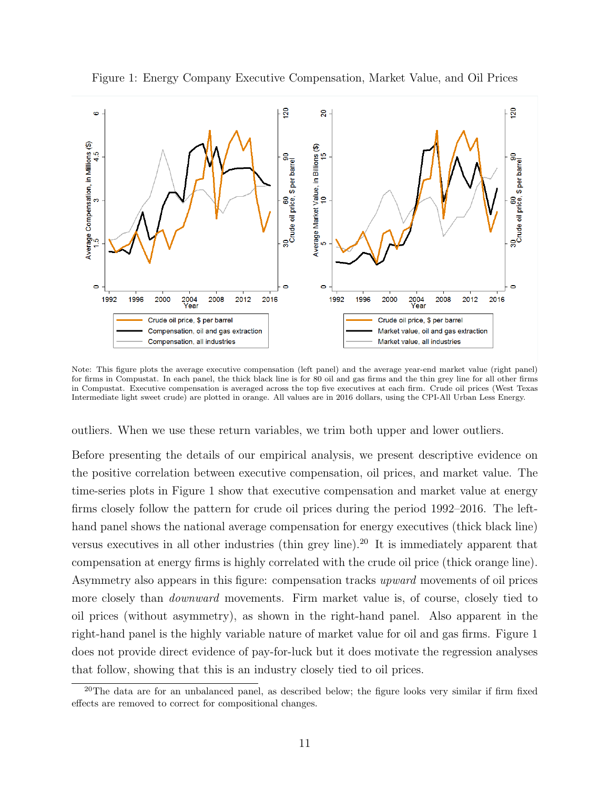

Figure 1: Energy Company Executive Compensation, Market Value, and Oil Prices

Note: This figure plots the average executive compensation (left panel) and the average year-end market value (right panel) for firms in Compustat. In each panel, the thick black line is for 80 oil and gas firms and the thin grey line for all other firms in Compustat. Executive compensation is averaged across the top five executives at each firm. Crude oil prices (West Texas Intermediate light sweet crude) are plotted in orange. All values are in 2016 dollars, using the CPI-All Urban Less Energy.

outliers. When we use these return variables, we trim both upper and lower outliers.

Before presenting the details of our empirical analysis, we present descriptive evidence on the positive correlation between executive compensation, oil prices, and market value. The time-series plots in Figure 1 show that executive compensation and market value at energy firms closely follow the pattern for crude oil prices during the period 1992–2016. The lefthand panel shows the national average compensation for energy executives (thick black line) versus executives in all other industries (thin grey line).<sup>20</sup> It is immediately apparent that compensation at energy firms is highly correlated with the crude oil price (thick orange line). Asymmetry also appears in this figure: compensation tracks upward movements of oil prices more closely than *downward* movements. Firm market value is, of course, closely tied to oil prices (without asymmetry), as shown in the right-hand panel. Also apparent in the right-hand panel is the highly variable nature of market value for oil and gas firms. Figure 1 does not provide direct evidence of pay-for-luck but it does motivate the regression analyses that follow, showing that this is an industry closely tied to oil prices.

<sup>&</sup>lt;sup>20</sup>The data are for an unbalanced panel, as described below; the figure looks very similar if firm fixed effects are removed to correct for compositional changes.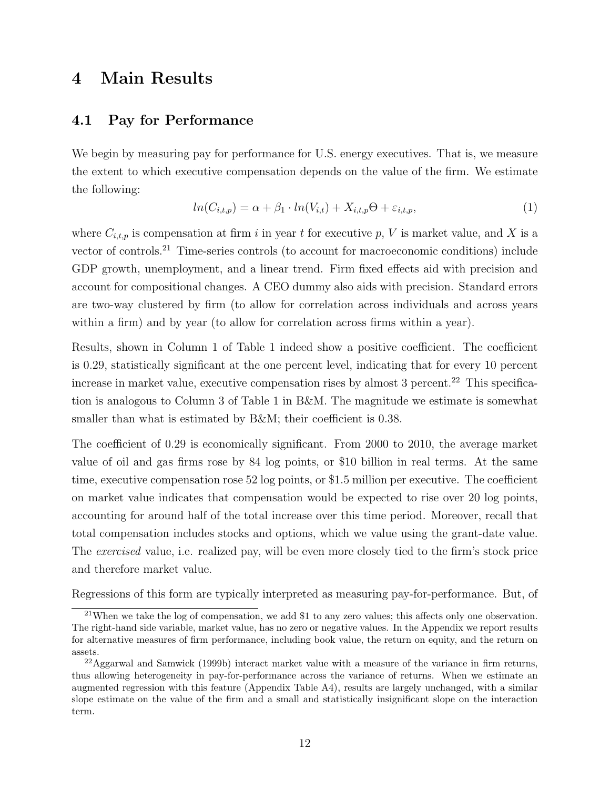# 4 Main Results

## 4.1 Pay for Performance

We begin by measuring pay for performance for U.S. energy executives. That is, we measure the extent to which executive compensation depends on the value of the firm. We estimate the following:

$$
ln(C_{i,t,p}) = \alpha + \beta_1 \cdot ln(V_{i,t}) + X_{i,t,p}\Theta + \varepsilon_{i,t,p},\tag{1}
$$

where  $C_{i,t,p}$  is compensation at firm i in year t for executive p, V is market value, and X is a vector of controls.<sup>21</sup> Time-series controls (to account for macroeconomic conditions) include GDP growth, unemployment, and a linear trend. Firm fixed effects aid with precision and account for compositional changes. A CEO dummy also aids with precision. Standard errors are two-way clustered by firm (to allow for correlation across individuals and across years within a firm) and by year (to allow for correlation across firms within a year).

Results, shown in Column 1 of Table 1 indeed show a positive coefficient. The coefficient is 0.29, statistically significant at the one percent level, indicating that for every 10 percent increase in market value, executive compensation rises by almost  $3$  percent.<sup>22</sup> This specification is analogous to Column 3 of Table 1 in B&M. The magnitude we estimate is somewhat smaller than what is estimated by B&M; their coefficient is 0.38.

The coefficient of 0.29 is economically significant. From 2000 to 2010, the average market value of oil and gas firms rose by 84 log points, or \$10 billion in real terms. At the same time, executive compensation rose 52 log points, or \$1.5 million per executive. The coefficient on market value indicates that compensation would be expected to rise over 20 log points, accounting for around half of the total increase over this time period. Moreover, recall that total compensation includes stocks and options, which we value using the grant-date value. The *exercised* value, i.e. realized pay, will be even more closely tied to the firm's stock price and therefore market value.

Regressions of this form are typically interpreted as measuring pay-for-performance. But, of

 $^{21}$ When we take the log of compensation, we add \$1 to any zero values; this affects only one observation. The right-hand side variable, market value, has no zero or negative values. In the Appendix we report results for alternative measures of firm performance, including book value, the return on equity, and the return on assets.

 $^{22}$ Aggarwal and Samwick (1999b) interact market value with a measure of the variance in firm returns, thus allowing heterogeneity in pay-for-performance across the variance of returns. When we estimate an augmented regression with this feature (Appendix Table A4), results are largely unchanged, with a similar slope estimate on the value of the firm and a small and statistically insignificant slope on the interaction term.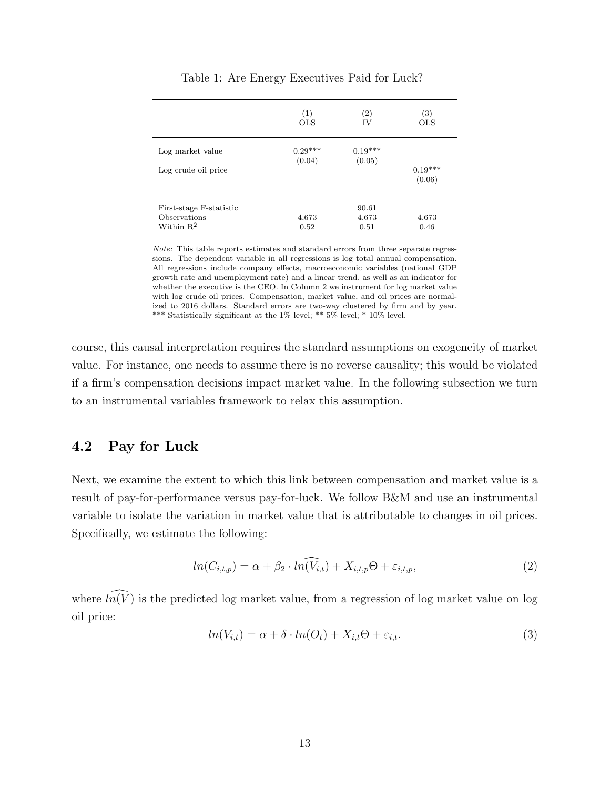|                                         | (1)<br><b>OLS</b>   | (2)<br>ΙV           | $\left( 3\right)$<br><b>OLS</b> |
|-----------------------------------------|---------------------|---------------------|---------------------------------|
| Log market value                        | $0.29***$<br>(0.04) | $0.19***$<br>(0.05) |                                 |
| Log crude oil price                     |                     |                     | $0.19***$<br>(0.06)             |
| First-stage F-statistic<br>Observations | 4,673               | 90.61<br>4,673      | 4,673                           |
| Within $R^2$                            | 0.52                | 0.51                | 0.46                            |

Table 1: Are Energy Executives Paid for Luck?

Note: This table reports estimates and standard errors from three separate regressions. The dependent variable in all regressions is log total annual compensation. All regressions include company effects, macroeconomic variables (national GDP growth rate and unemployment rate) and a linear trend, as well as an indicator for whether the executive is the CEO. In Column 2 we instrument for log market value with log crude oil prices. Compensation, market value, and oil prices are normalized to 2016 dollars. Standard errors are two-way clustered by firm and by year. \*\*\* Statistically significant at the 1% level; \*\*  $5\%$  level; \*  $10\%$  level.

course, this causal interpretation requires the standard assumptions on exogeneity of market value. For instance, one needs to assume there is no reverse causality; this would be violated if a firm's compensation decisions impact market value. In the following subsection we turn to an instrumental variables framework to relax this assumption.

## 4.2 Pay for Luck

Next, we examine the extent to which this link between compensation and market value is a result of pay-for-performance versus pay-for-luck. We follow B&M and use an instrumental variable to isolate the variation in market value that is attributable to changes in oil prices. Specifically, we estimate the following:

$$
ln(C_{i,t,p}) = \alpha + \beta_2 \cdot ln(V_{i,t}) + X_{i,t,p}\Theta + \varepsilon_{i,t,p},\tag{2}
$$

where  $\widehat{ln(V)}$  is the predicted log market value, from a regression of log market value on log oil price:

$$
ln(V_{i,t}) = \alpha + \delta \cdot ln(O_t) + X_{i,t} \Theta + \varepsilon_{i,t}.
$$
\n(3)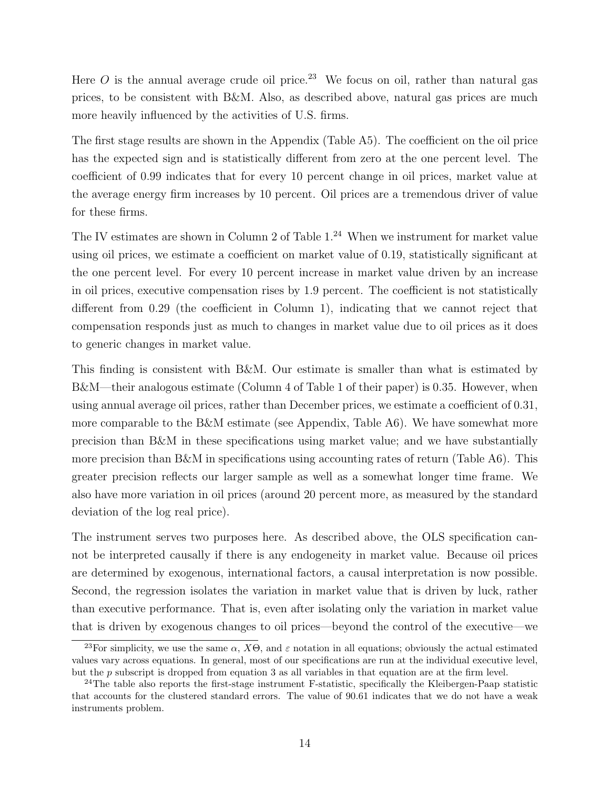Here O is the annual average crude oil price.<sup>23</sup> We focus on oil, rather than natural gas prices, to be consistent with B&M. Also, as described above, natural gas prices are much more heavily influenced by the activities of U.S. firms.

The first stage results are shown in the Appendix (Table A5). The coefficient on the oil price has the expected sign and is statistically different from zero at the one percent level. The coefficient of 0.99 indicates that for every 10 percent change in oil prices, market value at the average energy firm increases by 10 percent. Oil prices are a tremendous driver of value for these firms.

The IV estimates are shown in Column 2 of Table 1.<sup>24</sup> When we instrument for market value using oil prices, we estimate a coefficient on market value of 0.19, statistically significant at the one percent level. For every 10 percent increase in market value driven by an increase in oil prices, executive compensation rises by 1.9 percent. The coefficient is not statistically different from 0.29 (the coefficient in Column 1), indicating that we cannot reject that compensation responds just as much to changes in market value due to oil prices as it does to generic changes in market value.

This finding is consistent with B&M. Our estimate is smaller than what is estimated by B&M—their analogous estimate (Column 4 of Table 1 of their paper) is 0.35. However, when using annual average oil prices, rather than December prices, we estimate a coefficient of 0.31, more comparable to the B&M estimate (see Appendix, Table A6). We have somewhat more precision than B&M in these specifications using market value; and we have substantially more precision than B&M in specifications using accounting rates of return (Table A6). This greater precision reflects our larger sample as well as a somewhat longer time frame. We also have more variation in oil prices (around 20 percent more, as measured by the standard deviation of the log real price).

The instrument serves two purposes here. As described above, the OLS specification cannot be interpreted causally if there is any endogeneity in market value. Because oil prices are determined by exogenous, international factors, a causal interpretation is now possible. Second, the regression isolates the variation in market value that is driven by luck, rather than executive performance. That is, even after isolating only the variation in market value that is driven by exogenous changes to oil prices—beyond the control of the executive—we

<sup>&</sup>lt;sup>23</sup>For simplicity, we use the same  $\alpha$ ,  $X\Theta$ , and  $\varepsilon$  notation in all equations; obviously the actual estimated values vary across equations. In general, most of our specifications are run at the individual executive level, but the p subscript is dropped from equation 3 as all variables in that equation are at the firm level.

<sup>&</sup>lt;sup>24</sup>The table also reports the first-stage instrument F-statistic, specifically the Kleibergen-Paap statistic that accounts for the clustered standard errors. The value of 90.61 indicates that we do not have a weak instruments problem.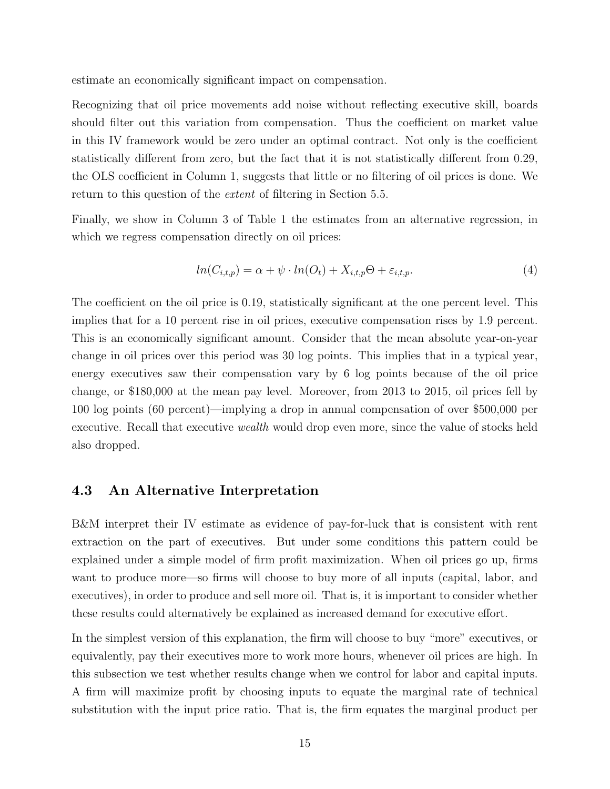estimate an economically significant impact on compensation.

Recognizing that oil price movements add noise without reflecting executive skill, boards should filter out this variation from compensation. Thus the coefficient on market value in this IV framework would be zero under an optimal contract. Not only is the coefficient statistically different from zero, but the fact that it is not statistically different from 0.29, the OLS coefficient in Column 1, suggests that little or no filtering of oil prices is done. We return to this question of the extent of filtering in Section 5.5.

Finally, we show in Column 3 of Table 1 the estimates from an alternative regression, in which we regress compensation directly on oil prices:

$$
ln(C_{i,t,p}) = \alpha + \psi \cdot ln(Q_t) + X_{i,t,p}\Theta + \varepsilon_{i,t,p}.
$$
\n
$$
(4)
$$

The coefficient on the oil price is 0.19, statistically significant at the one percent level. This implies that for a 10 percent rise in oil prices, executive compensation rises by 1.9 percent. This is an economically significant amount. Consider that the mean absolute year-on-year change in oil prices over this period was 30 log points. This implies that in a typical year, energy executives saw their compensation vary by 6 log points because of the oil price change, or \$180,000 at the mean pay level. Moreover, from 2013 to 2015, oil prices fell by 100 log points (60 percent)—implying a drop in annual compensation of over \$500,000 per executive. Recall that executive wealth would drop even more, since the value of stocks held also dropped.

#### 4.3 An Alternative Interpretation

B&M interpret their IV estimate as evidence of pay-for-luck that is consistent with rent extraction on the part of executives. But under some conditions this pattern could be explained under a simple model of firm profit maximization. When oil prices go up, firms want to produce more—so firms will choose to buy more of all inputs (capital, labor, and executives), in order to produce and sell more oil. That is, it is important to consider whether these results could alternatively be explained as increased demand for executive effort.

In the simplest version of this explanation, the firm will choose to buy "more" executives, or equivalently, pay their executives more to work more hours, whenever oil prices are high. In this subsection we test whether results change when we control for labor and capital inputs. A firm will maximize profit by choosing inputs to equate the marginal rate of technical substitution with the input price ratio. That is, the firm equates the marginal product per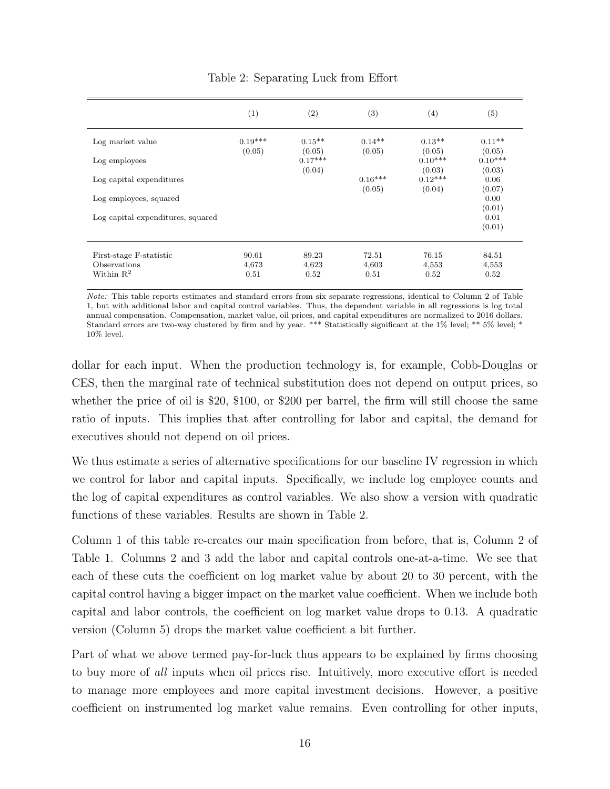|                                   | (1)                 | (2)                 | (3)                | $\left( 4\right)$   | (5)                      |
|-----------------------------------|---------------------|---------------------|--------------------|---------------------|--------------------------|
| Log market value                  | $0.19***$<br>(0.05) | $0.15**$<br>(0.05)  | $0.14**$<br>(0.05) | $0.13**$<br>(0.05)  | $0.11**$<br>(0.05)       |
| Log employees                     |                     | $0.17***$<br>(0.04) |                    | $0.10***$<br>(0.03) | $0.10***$<br>(0.03)      |
| Log capital expenditures          |                     |                     | $0.16***$          | $0.12***$           | 0.06                     |
| Log employees, squared            |                     |                     | (0.05)             | (0.04)              | (0.07)<br>0.00           |
| Log capital expenditures, squared |                     |                     |                    |                     | (0.01)<br>0.01<br>(0.01) |
| First-stage F-statistic           | 90.61               | 89.23               | 72.51              | 76.15               | 84.51                    |
| Observations<br>Within $R^2$      | 4,673<br>0.51       | 4,623<br>0.52       | 4,603<br>0.51      | 4,553<br>0.52       | 4,553<br>0.52            |

#### Table 2: Separating Luck from Effort

Note: This table reports estimates and standard errors from six separate regressions, identical to Column 2 of Table 1, but with additional labor and capital control variables. Thus, the dependent variable in all regressions is log total annual compensation. Compensation, market value, oil prices, and capital expenditures are normalized to 2016 dollars. Standard errors are two-way clustered by firm and by year. \*\*\* Statistically significant at the 1% level; \*\* 5% level; \* 10% level.

dollar for each input. When the production technology is, for example, Cobb-Douglas or CES, then the marginal rate of technical substitution does not depend on output prices, so whether the price of oil is \$20, \$100, or \$200 per barrel, the firm will still choose the same ratio of inputs. This implies that after controlling for labor and capital, the demand for executives should not depend on oil prices.

We thus estimate a series of alternative specifications for our baseline IV regression in which we control for labor and capital inputs. Specifically, we include log employee counts and the log of capital expenditures as control variables. We also show a version with quadratic functions of these variables. Results are shown in Table 2.

Column 1 of this table re-creates our main specification from before, that is, Column 2 of Table 1. Columns 2 and 3 add the labor and capital controls one-at-a-time. We see that each of these cuts the coefficient on log market value by about 20 to 30 percent, with the capital control having a bigger impact on the market value coefficient. When we include both capital and labor controls, the coefficient on log market value drops to 0.13. A quadratic version (Column 5) drops the market value coefficient a bit further.

Part of what we above termed pay-for-luck thus appears to be explained by firms choosing to buy more of all inputs when oil prices rise. Intuitively, more executive effort is needed to manage more employees and more capital investment decisions. However, a positive coefficient on instrumented log market value remains. Even controlling for other inputs,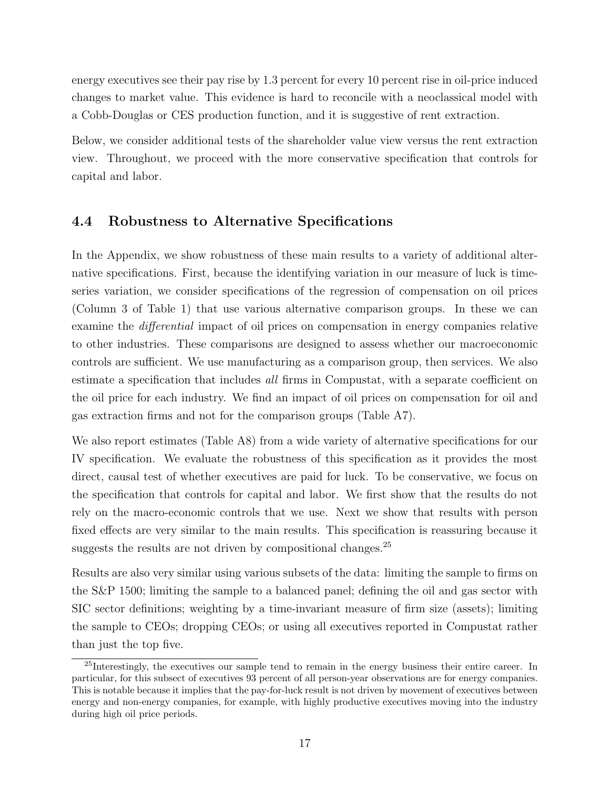energy executives see their pay rise by 1.3 percent for every 10 percent rise in oil-price induced changes to market value. This evidence is hard to reconcile with a neoclassical model with a Cobb-Douglas or CES production function, and it is suggestive of rent extraction.

Below, we consider additional tests of the shareholder value view versus the rent extraction view. Throughout, we proceed with the more conservative specification that controls for capital and labor.

## 4.4 Robustness to Alternative Specifications

In the Appendix, we show robustness of these main results to a variety of additional alternative specifications. First, because the identifying variation in our measure of luck is timeseries variation, we consider specifications of the regression of compensation on oil prices (Column 3 of Table 1) that use various alternative comparison groups. In these we can examine the differential impact of oil prices on compensation in energy companies relative to other industries. These comparisons are designed to assess whether our macroeconomic controls are sufficient. We use manufacturing as a comparison group, then services. We also estimate a specification that includes all firms in Compustat, with a separate coefficient on the oil price for each industry. We find an impact of oil prices on compensation for oil and gas extraction firms and not for the comparison groups (Table A7).

We also report estimates (Table A8) from a wide variety of alternative specifications for our IV specification. We evaluate the robustness of this specification as it provides the most direct, causal test of whether executives are paid for luck. To be conservative, we focus on the specification that controls for capital and labor. We first show that the results do not rely on the macro-economic controls that we use. Next we show that results with person fixed effects are very similar to the main results. This specification is reassuring because it suggests the results are not driven by compositional changes.<sup>25</sup>

Results are also very similar using various subsets of the data: limiting the sample to firms on the S&P 1500; limiting the sample to a balanced panel; defining the oil and gas sector with SIC sector definitions; weighting by a time-invariant measure of firm size (assets); limiting the sample to CEOs; dropping CEOs; or using all executives reported in Compustat rather than just the top five.

<sup>&</sup>lt;sup>25</sup>Interestingly, the executives our sample tend to remain in the energy business their entire career. In particular, for this subsect of executives 93 percent of all person-year observations are for energy companies. This is notable because it implies that the pay-for-luck result is not driven by movement of executives between energy and non-energy companies, for example, with highly productive executives moving into the industry during high oil price periods.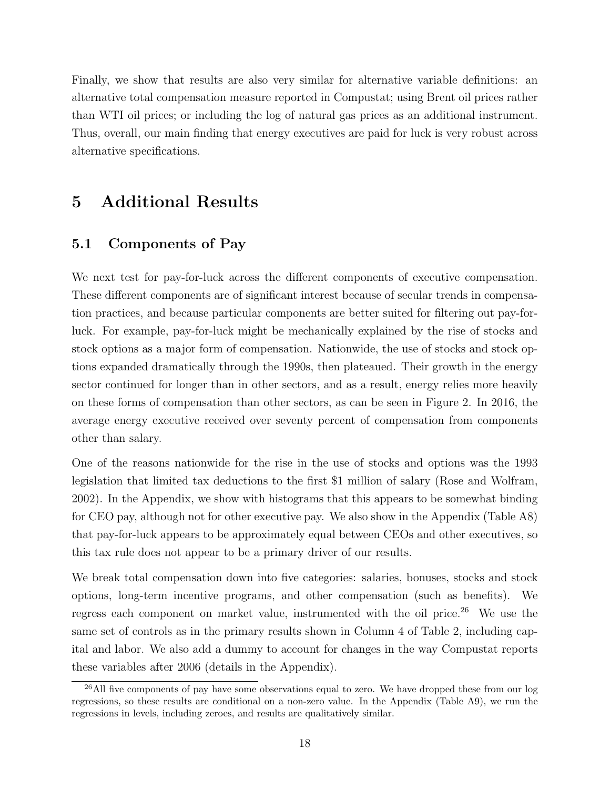Finally, we show that results are also very similar for alternative variable definitions: an alternative total compensation measure reported in Compustat; using Brent oil prices rather than WTI oil prices; or including the log of natural gas prices as an additional instrument. Thus, overall, our main finding that energy executives are paid for luck is very robust across alternative specifications.

# 5 Additional Results

## 5.1 Components of Pay

We next test for pay-for-luck across the different components of executive compensation. These different components are of significant interest because of secular trends in compensation practices, and because particular components are better suited for filtering out pay-forluck. For example, pay-for-luck might be mechanically explained by the rise of stocks and stock options as a major form of compensation. Nationwide, the use of stocks and stock options expanded dramatically through the 1990s, then plateaued. Their growth in the energy sector continued for longer than in other sectors, and as a result, energy relies more heavily on these forms of compensation than other sectors, as can be seen in Figure 2. In 2016, the average energy executive received over seventy percent of compensation from components other than salary.

One of the reasons nationwide for the rise in the use of stocks and options was the 1993 legislation that limited tax deductions to the first \$1 million of salary (Rose and Wolfram, 2002). In the Appendix, we show with histograms that this appears to be somewhat binding for CEO pay, although not for other executive pay. We also show in the Appendix (Table A8) that pay-for-luck appears to be approximately equal between CEOs and other executives, so this tax rule does not appear to be a primary driver of our results.

We break total compensation down into five categories: salaries, bonuses, stocks and stock options, long-term incentive programs, and other compensation (such as benefits). We regress each component on market value, instrumented with the oil price.<sup>26</sup> We use the same set of controls as in the primary results shown in Column 4 of Table 2, including capital and labor. We also add a dummy to account for changes in the way Compustat reports these variables after 2006 (details in the Appendix).

<sup>&</sup>lt;sup>26</sup>All five components of pay have some observations equal to zero. We have dropped these from our log regressions, so these results are conditional on a non-zero value. In the Appendix (Table A9), we run the regressions in levels, including zeroes, and results are qualitatively similar.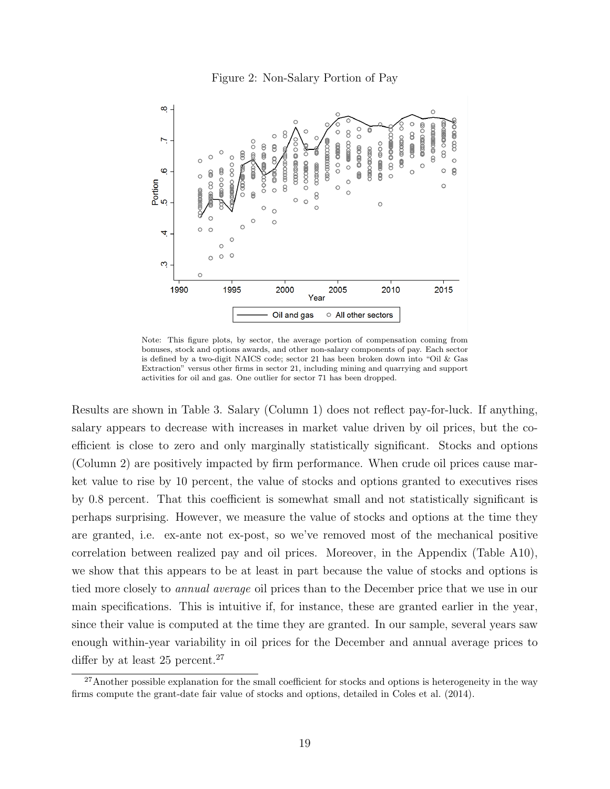#### Figure 2: Non-Salary Portion of Pay



Note: This figure plots, by sector, the average portion of compensation coming from bonuses, stock and options awards, and other non-salary components of pay. Each sector is defined by a two-digit NAICS code; sector 21 has been broken down into "Oil & Gas Extraction" versus other firms in sector 21, including mining and quarrying and support activities for oil and gas. One outlier for sector 71 has been dropped.

Results are shown in Table 3. Salary (Column 1) does not reflect pay-for-luck. If anything, salary appears to decrease with increases in market value driven by oil prices, but the coefficient is close to zero and only marginally statistically significant. Stocks and options (Column 2) are positively impacted by firm performance. When crude oil prices cause market value to rise by 10 percent, the value of stocks and options granted to executives rises by 0.8 percent. That this coefficient is somewhat small and not statistically significant is perhaps surprising. However, we measure the value of stocks and options at the time they are granted, i.e. ex-ante not ex-post, so we've removed most of the mechanical positive correlation between realized pay and oil prices. Moreover, in the Appendix (Table A10), we show that this appears to be at least in part because the value of stocks and options is tied more closely to annual average oil prices than to the December price that we use in our main specifications. This is intuitive if, for instance, these are granted earlier in the year, since their value is computed at the time they are granted. In our sample, several years saw enough within-year variability in oil prices for the December and annual average prices to differ by at least 25 percent.<sup>27</sup>

<sup>&</sup>lt;sup>27</sup>Another possible explanation for the small coefficient for stocks and options is heterogeneity in the way firms compute the grant-date fair value of stocks and options, detailed in Coles et al. (2014).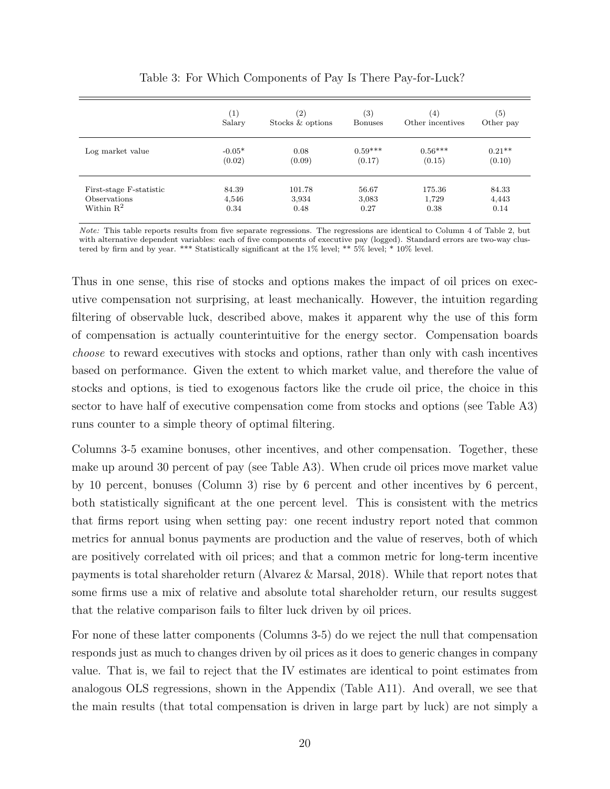|                         | (1)      | $\left( 2\right)$ | $\left( 3\right)$ | (4)              | (5)       |
|-------------------------|----------|-------------------|-------------------|------------------|-----------|
|                         | Salary   | Stocks & options  | <b>Bonuses</b>    | Other incentives | Other pay |
| Log market value        | $-0.05*$ | 0.08              | $0.59***$         | $0.56***$        | $0.21**$  |
|                         | (0.02)   | (0.09)            | (0.17)            | (0.15)           | (0.10)    |
| First-stage F-statistic | 84.39    | 101.78            | 56.67             | 175.36           | 84.33     |
| Observations            | 4,546    | 3,934             | 3,083             | 1,729            | 4,443     |
| Within $\mathbb{R}^2$   | 0.34     | 0.48              | 0.27              | 0.38             | 0.14      |

Table 3: For Which Components of Pay Is There Pay-for-Luck?

Note: This table reports results from five separate regressions. The regressions are identical to Column 4 of Table 2, but with alternative dependent variables: each of five components of executive pay (logged). Standard errors are two-way clustered by firm and by year. \*\*\* Statistically significant at the 1% level; \*\* 5% level; \* 10% level.

Thus in one sense, this rise of stocks and options makes the impact of oil prices on executive compensation not surprising, at least mechanically. However, the intuition regarding filtering of observable luck, described above, makes it apparent why the use of this form of compensation is actually counterintuitive for the energy sector. Compensation boards choose to reward executives with stocks and options, rather than only with cash incentives based on performance. Given the extent to which market value, and therefore the value of stocks and options, is tied to exogenous factors like the crude oil price, the choice in this sector to have half of executive compensation come from stocks and options (see Table A3) runs counter to a simple theory of optimal filtering.

Columns 3-5 examine bonuses, other incentives, and other compensation. Together, these make up around 30 percent of pay (see Table A3). When crude oil prices move market value by 10 percent, bonuses (Column 3) rise by 6 percent and other incentives by 6 percent, both statistically significant at the one percent level. This is consistent with the metrics that firms report using when setting pay: one recent industry report noted that common metrics for annual bonus payments are production and the value of reserves, both of which are positively correlated with oil prices; and that a common metric for long-term incentive payments is total shareholder return (Alvarez & Marsal, 2018). While that report notes that some firms use a mix of relative and absolute total shareholder return, our results suggest that the relative comparison fails to filter luck driven by oil prices.

For none of these latter components (Columns 3-5) do we reject the null that compensation responds just as much to changes driven by oil prices as it does to generic changes in company value. That is, we fail to reject that the IV estimates are identical to point estimates from analogous OLS regressions, shown in the Appendix (Table A11). And overall, we see that the main results (that total compensation is driven in large part by luck) are not simply a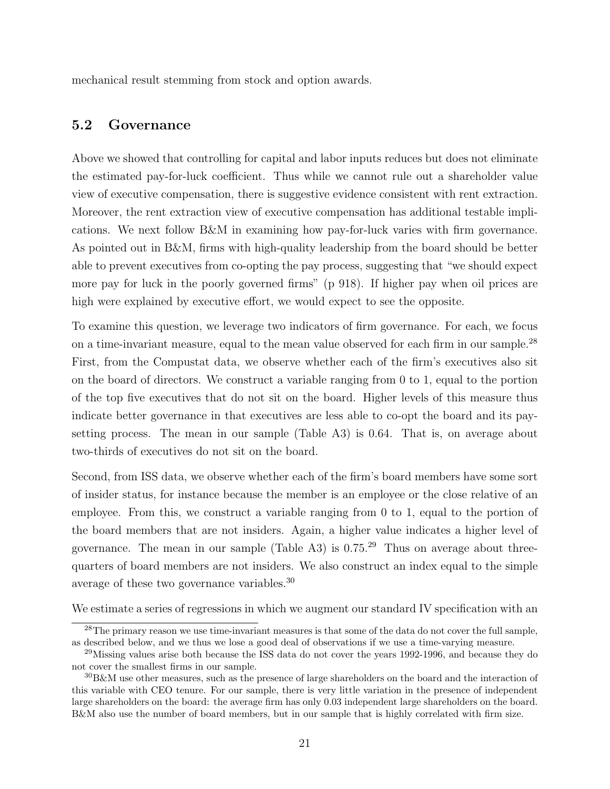mechanical result stemming from stock and option awards.

## 5.2 Governance

Above we showed that controlling for capital and labor inputs reduces but does not eliminate the estimated pay-for-luck coefficient. Thus while we cannot rule out a shareholder value view of executive compensation, there is suggestive evidence consistent with rent extraction. Moreover, the rent extraction view of executive compensation has additional testable implications. We next follow B&M in examining how pay-for-luck varies with firm governance. As pointed out in B&M, firms with high-quality leadership from the board should be better able to prevent executives from co-opting the pay process, suggesting that "we should expect more pay for luck in the poorly governed firms" (p 918). If higher pay when oil prices are high were explained by executive effort, we would expect to see the opposite.

To examine this question, we leverage two indicators of firm governance. For each, we focus on a time-invariant measure, equal to the mean value observed for each firm in our sample.<sup>28</sup> First, from the Compustat data, we observe whether each of the firm's executives also sit on the board of directors. We construct a variable ranging from 0 to 1, equal to the portion of the top five executives that do not sit on the board. Higher levels of this measure thus indicate better governance in that executives are less able to co-opt the board and its paysetting process. The mean in our sample (Table A3) is 0.64. That is, on average about two-thirds of executives do not sit on the board.

Second, from ISS data, we observe whether each of the firm's board members have some sort of insider status, for instance because the member is an employee or the close relative of an employee. From this, we construct a variable ranging from 0 to 1, equal to the portion of the board members that are not insiders. Again, a higher value indicates a higher level of governance. The mean in our sample (Table A3) is  $0.75<sup>29</sup>$  Thus on average about threequarters of board members are not insiders. We also construct an index equal to the simple average of these two governance variables.<sup>30</sup>

We estimate a series of regressions in which we augment our standard IV specification with an

<sup>&</sup>lt;sup>28</sup>The primary reason we use time-invariant measures is that some of the data do not cover the full sample, as described below, and we thus we lose a good deal of observations if we use a time-varying measure.

<sup>&</sup>lt;sup>29</sup>Missing values arise both because the ISS data do not cover the years 1992-1996, and because they do not cover the smallest firms in our sample.

<sup>30</sup>B&M use other measures, such as the presence of large shareholders on the board and the interaction of this variable with CEO tenure. For our sample, there is very little variation in the presence of independent large shareholders on the board: the average firm has only 0.03 independent large shareholders on the board. B&M also use the number of board members, but in our sample that is highly correlated with firm size.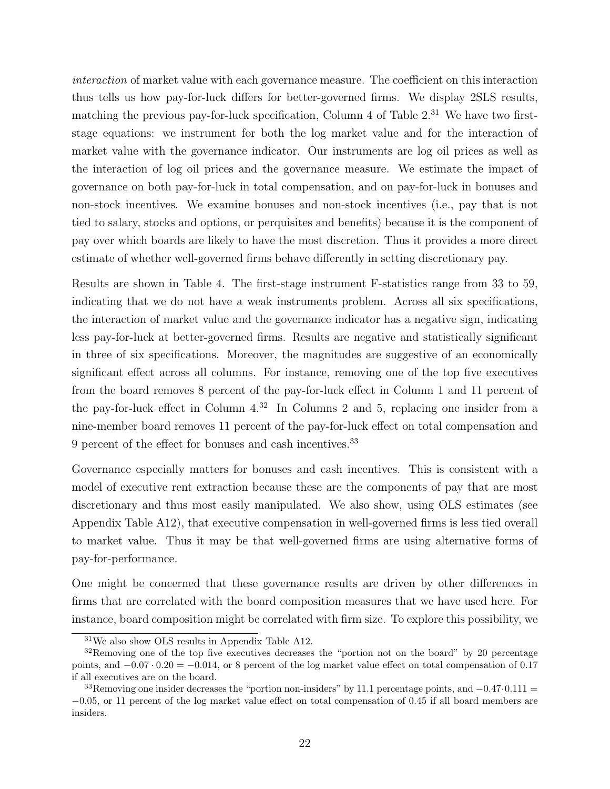interaction of market value with each governance measure. The coefficient on this interaction thus tells us how pay-for-luck differs for better-governed firms. We display 2SLS results, matching the previous pay-for-luck specification, Column 4 of Table  $2<sup>31</sup>$  We have two firststage equations: we instrument for both the log market value and for the interaction of market value with the governance indicator. Our instruments are log oil prices as well as the interaction of log oil prices and the governance measure. We estimate the impact of governance on both pay-for-luck in total compensation, and on pay-for-luck in bonuses and non-stock incentives. We examine bonuses and non-stock incentives (i.e., pay that is not tied to salary, stocks and options, or perquisites and benefits) because it is the component of pay over which boards are likely to have the most discretion. Thus it provides a more direct estimate of whether well-governed firms behave differently in setting discretionary pay.

Results are shown in Table 4. The first-stage instrument F-statistics range from 33 to 59, indicating that we do not have a weak instruments problem. Across all six specifications, the interaction of market value and the governance indicator has a negative sign, indicating less pay-for-luck at better-governed firms. Results are negative and statistically significant in three of six specifications. Moreover, the magnitudes are suggestive of an economically significant effect across all columns. For instance, removing one of the top five executives from the board removes 8 percent of the pay-for-luck effect in Column 1 and 11 percent of the pay-for-luck effect in Column  $4^{32}$  In Columns 2 and 5, replacing one insider from a nine-member board removes 11 percent of the pay-for-luck effect on total compensation and 9 percent of the effect for bonuses and cash incentives.<sup>33</sup>

Governance especially matters for bonuses and cash incentives. This is consistent with a model of executive rent extraction because these are the components of pay that are most discretionary and thus most easily manipulated. We also show, using OLS estimates (see Appendix Table A12), that executive compensation in well-governed firms is less tied overall to market value. Thus it may be that well-governed firms are using alternative forms of pay-for-performance.

One might be concerned that these governance results are driven by other differences in firms that are correlated with the board composition measures that we have used here. For instance, board composition might be correlated with firm size. To explore this possibility, we

<sup>31</sup>We also show OLS results in Appendix Table A12.

 $32$ Removing one of the top five executives decreases the "portion not on the board" by 20 percentage points, and  $-0.07 \cdot 0.20 = -0.014$ , or 8 percent of the log market value effect on total compensation of 0.17 if all executives are on the board.

<sup>&</sup>lt;sup>33</sup>Removing one insider decreases the "portion non-insiders" by 11.1 percentage points, and  $-0.47 \cdot 0.111$  = −0.05, or 11 percent of the log market value effect on total compensation of 0.45 if all board members are insiders.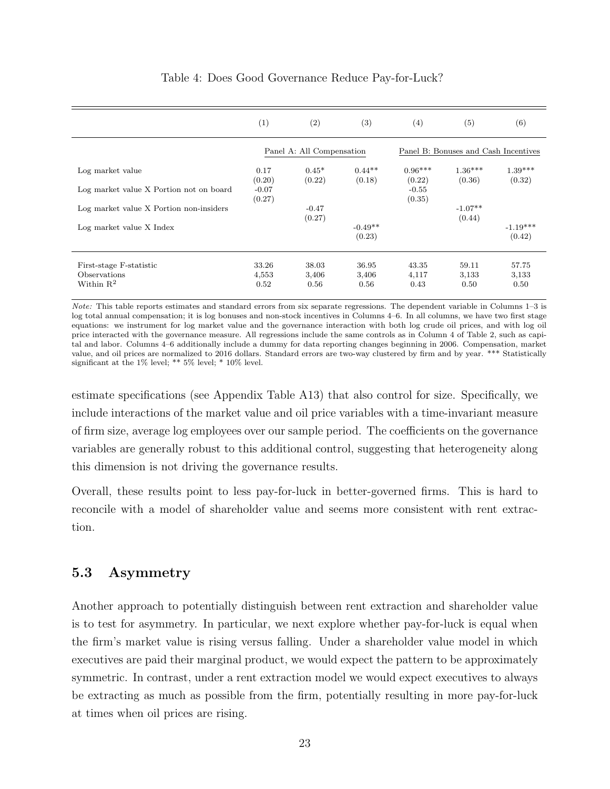|                                         | (1)               | $\left( 2\right)$         | (3)                 | $\left(4\right)$    | (5)                                  | (6)                  |
|-----------------------------------------|-------------------|---------------------------|---------------------|---------------------|--------------------------------------|----------------------|
|                                         |                   | Panel A: All Compensation |                     |                     | Panel B: Bonuses and Cash Incentives |                      |
| Log market value                        | 0.17<br>(0.20)    | $0.45*$<br>(0.22)         | $0.44**$<br>(0.18)  | $0.96***$<br>(0.22) | $1.36***$<br>(0.36)                  | $1.39***$<br>(0.32)  |
| Log market value X Portion not on board | $-0.07$<br>(0.27) |                           |                     | $-0.55$<br>(0.35)   |                                      |                      |
| Log market value X Portion non-insiders |                   | $-0.47$<br>(0.27)         |                     |                     | $-1.07**$<br>(0.44)                  |                      |
| Log market value X Index                |                   |                           | $-0.49**$<br>(0.23) |                     |                                      | $-1.19***$<br>(0.42) |
| First-stage F-statistic                 | 33.26             | 38.03                     | 36.95               | 43.35               | 59.11                                | 57.75                |
| Observations<br>Within $R^2$            | 4,553<br>0.52     | 3,406<br>0.56             | 3,406<br>0.56       | 4,117<br>0.43       | 3,133<br>0.50                        | 3,133<br>0.50        |

## Table 4: Does Good Governance Reduce Pay-for-Luck?

Note: This table reports estimates and standard errors from six separate regressions. The dependent variable in Columns 1–3 is log total annual compensation; it is log bonuses and non-stock incentives in Columns 4–6. In all columns, we have two first stage equations: we instrument for log market value and the governance interaction with both log crude oil prices, and with log oil price interacted with the governance measure. All regressions include the same controls as in Column 4 of Table 2, such as capital and labor. Columns 4–6 additionally include a dummy for data reporting changes beginning in 2006. Compensation, market value, and oil prices are normalized to 2016 dollars. Standard errors are two-way clustered by firm and by year. \*\*\* Statistically significant at the 1% level; \*\* 5% level; \* 10% level.

estimate specifications (see Appendix Table A13) that also control for size. Specifically, we include interactions of the market value and oil price variables with a time-invariant measure of firm size, average log employees over our sample period. The coefficients on the governance variables are generally robust to this additional control, suggesting that heterogeneity along this dimension is not driving the governance results.

Overall, these results point to less pay-for-luck in better-governed firms. This is hard to reconcile with a model of shareholder value and seems more consistent with rent extraction.

## 5.3 Asymmetry

Another approach to potentially distinguish between rent extraction and shareholder value is to test for asymmetry. In particular, we next explore whether pay-for-luck is equal when the firm's market value is rising versus falling. Under a shareholder value model in which executives are paid their marginal product, we would expect the pattern to be approximately symmetric. In contrast, under a rent extraction model we would expect executives to always be extracting as much as possible from the firm, potentially resulting in more pay-for-luck at times when oil prices are rising.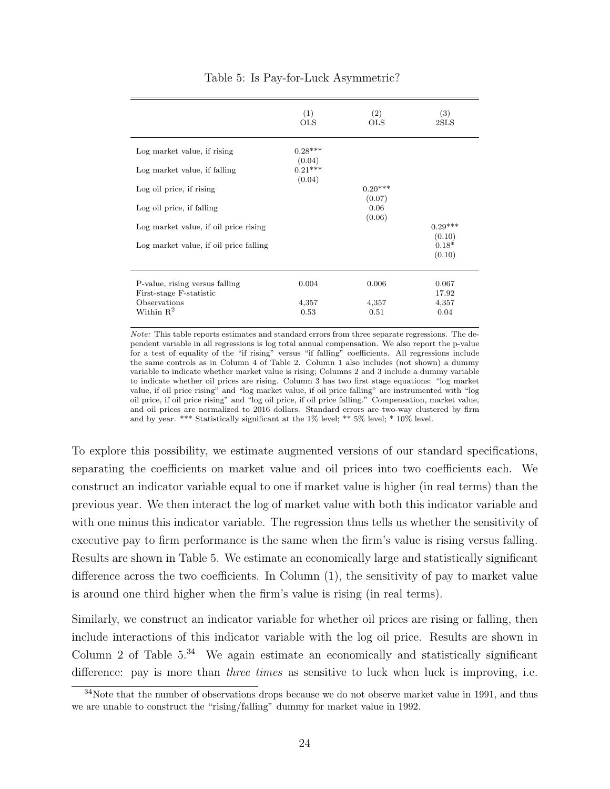|                                        | (1)<br><b>OLS</b>   | (2)<br><b>OLS</b>   | (3)<br>2SLS         |
|----------------------------------------|---------------------|---------------------|---------------------|
| Log market value, if rising            | $0.28***$<br>(0.04) |                     |                     |
| Log market value, if falling           | $0.21***$           |                     |                     |
| Log oil price, if rising               | (0.04)              | $0.20***$<br>(0.07) |                     |
| Log oil price, if falling              |                     | 0.06                |                     |
|                                        |                     | (0.06)              |                     |
| Log market value, if oil price rising  |                     |                     | $0.29***$<br>(0.10) |
| Log market value, if oil price falling |                     |                     | $0.18*$             |
|                                        |                     |                     | (0.10)              |
|                                        |                     |                     |                     |
| P-value, rising versus falling         | 0.004               | 0.006               | 0.067               |
| First-stage F-statistic                |                     |                     | 17.92               |
| Observations<br>Within $R^2$           | 4,357               | 4,357               | 4,357               |
|                                        | 0.53                | 0.51                | 0.04                |

#### Table 5: Is Pay-for-Luck Asymmetric?

Note: This table reports estimates and standard errors from three separate regressions. The dependent variable in all regressions is log total annual compensation. We also report the p-value for a test of equality of the "if rising" versus "if falling" coefficients. All regressions include the same controls as in Column 4 of Table 2. Column 1 also includes (not shown) a dummy variable to indicate whether market value is rising; Columns 2 and 3 include a dummy variable to indicate whether oil prices are rising. Column 3 has two first stage equations: "log market value, if oil price rising" and "log market value, if oil price falling" are instrumented with "log oil price, if oil price rising" and "log oil price, if oil price falling." Compensation, market value, and oil prices are normalized to 2016 dollars. Standard errors are two-way clustered by firm and by year. \*\*\* Statistically significant at the 1% level; \*\* 5% level; \* 10% level.

To explore this possibility, we estimate augmented versions of our standard specifications, separating the coefficients on market value and oil prices into two coefficients each. We construct an indicator variable equal to one if market value is higher (in real terms) than the previous year. We then interact the log of market value with both this indicator variable and with one minus this indicator variable. The regression thus tells us whether the sensitivity of executive pay to firm performance is the same when the firm's value is rising versus falling. Results are shown in Table 5. We estimate an economically large and statistically significant difference across the two coefficients. In Column (1), the sensitivity of pay to market value is around one third higher when the firm's value is rising (in real terms).

Similarly, we construct an indicator variable for whether oil prices are rising or falling, then include interactions of this indicator variable with the log oil price. Results are shown in Column 2 of Table  $5^{34}$  We again estimate an economically and statistically significant difference: pay is more than *three times* as sensitive to luck when luck is improving, i.e.

 $34$ Note that the number of observations drops because we do not observe market value in 1991, and thus we are unable to construct the "rising/falling" dummy for market value in 1992.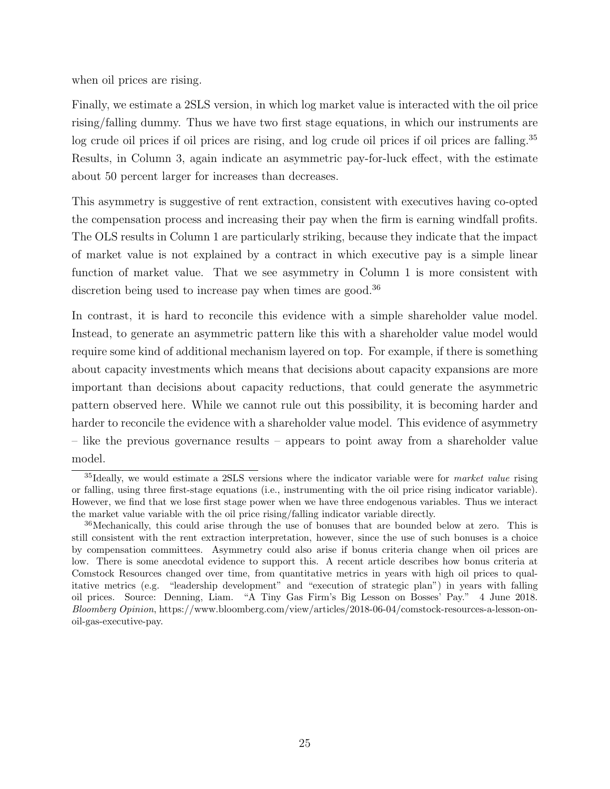when oil prices are rising.

Finally, we estimate a 2SLS version, in which log market value is interacted with the oil price rising/falling dummy. Thus we have two first stage equations, in which our instruments are log crude oil prices if oil prices are rising, and log crude oil prices if oil prices are falling.<sup>35</sup> Results, in Column 3, again indicate an asymmetric pay-for-luck effect, with the estimate about 50 percent larger for increases than decreases.

This asymmetry is suggestive of rent extraction, consistent with executives having co-opted the compensation process and increasing their pay when the firm is earning windfall profits. The OLS results in Column 1 are particularly striking, because they indicate that the impact of market value is not explained by a contract in which executive pay is a simple linear function of market value. That we see asymmetry in Column 1 is more consistent with discretion being used to increase pay when times are good.<sup>36</sup>

In contrast, it is hard to reconcile this evidence with a simple shareholder value model. Instead, to generate an asymmetric pattern like this with a shareholder value model would require some kind of additional mechanism layered on top. For example, if there is something about capacity investments which means that decisions about capacity expansions are more important than decisions about capacity reductions, that could generate the asymmetric pattern observed here. While we cannot rule out this possibility, it is becoming harder and harder to reconcile the evidence with a shareholder value model. This evidence of asymmetry – like the previous governance results – appears to point away from a shareholder value model.

 $35$ Ideally, we would estimate a 2SLS versions where the indicator variable were for *market value* rising or falling, using three first-stage equations (i.e., instrumenting with the oil price rising indicator variable). However, we find that we lose first stage power when we have three endogenous variables. Thus we interact the market value variable with the oil price rising/falling indicator variable directly.

<sup>36</sup>Mechanically, this could arise through the use of bonuses that are bounded below at zero. This is still consistent with the rent extraction interpretation, however, since the use of such bonuses is a choice by compensation committees. Asymmetry could also arise if bonus criteria change when oil prices are low. There is some anecdotal evidence to support this. A recent article describes how bonus criteria at Comstock Resources changed over time, from quantitative metrics in years with high oil prices to qualitative metrics (e.g. "leadership development" and "execution of strategic plan") in years with falling oil prices. Source: Denning, Liam. "A Tiny Gas Firm's Big Lesson on Bosses' Pay." 4 June 2018. Bloomberg Opinion, https://www.bloomberg.com/view/articles/2018-06-04/comstock-resources-a-lesson-onoil-gas-executive-pay.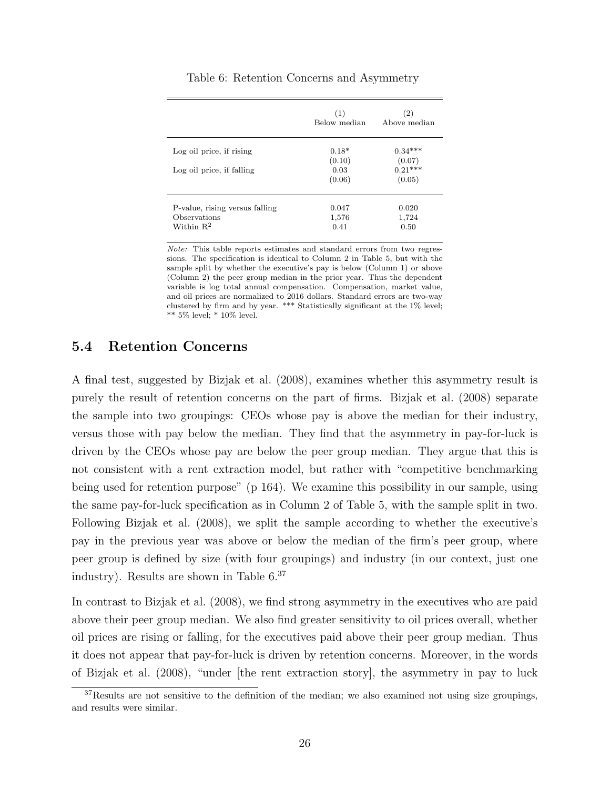|                                                                | (1)<br>Below median    | (2)<br>Above median    |
|----------------------------------------------------------------|------------------------|------------------------|
| Log oil price, if rising                                       | $0.18*$<br>(0.10)      | $0.34***$<br>(0.07)    |
| Log oil price, if falling                                      | 0.03<br>(0.06)         | $0.21***$<br>(0.05)    |
| P-value, rising versus falling<br>Observations<br>Within $R^2$ | 0.047<br>1,576<br>0.41 | 0.020<br>1,724<br>0.50 |

Table 6: Retention Concerns and Asymmetry

Note: This table reports estimates and standard errors from two regressions. The specification is identical to Column 2 in Table 5, but with the sample split by whether the executive's pay is below (Column 1) or above (Column 2) the peer group median in the prior year. Thus the dependent variable is log total annual compensation. Compensation, market value, and oil prices are normalized to 2016 dollars. Standard errors are two-way clustered by firm and by year. \*\*\* Statistically significant at the 1% level; \*\* 5% level; \* 10% level.

## 5.4 Retention Concerns

A final test, suggested by Bizjak et al. (2008), examines whether this asymmetry result is purely the result of retention concerns on the part of firms. Bizjak et al. (2008) separate the sample into two groupings: CEOs whose pay is above the median for their industry, versus those with pay below the median. They find that the asymmetry in pay-for-luck is driven by the CEOs whose pay are below the peer group median. They argue that this is not consistent with a rent extraction model, but rather with "competitive benchmarking being used for retention purpose" (p 164). We examine this possibility in our sample, using the same pay-for-luck specification as in Column 2 of Table 5, with the sample split in two. Following Bizjak et al. (2008), we split the sample according to whether the executive's pay in the previous year was above or below the median of the firm's peer group, where peer group is defined by size (with four groupings) and industry (in our context, just one industry). Results are shown in Table 6.<sup>37</sup>

In contrast to Bizjak et al. (2008), we find strong asymmetry in the executives who are paid above their peer group median. We also find greater sensitivity to oil prices overall, whether oil prices are rising or falling, for the executives paid above their peer group median. Thus it does not appear that pay-for-luck is driven by retention concerns. Moreover, in the words of Bizjak et al. (2008), "under [the rent extraction story], the asymmetry in pay to luck

<sup>&</sup>lt;sup>37</sup>Results are not sensitive to the definition of the median; we also examined not using size groupings, and results were similar.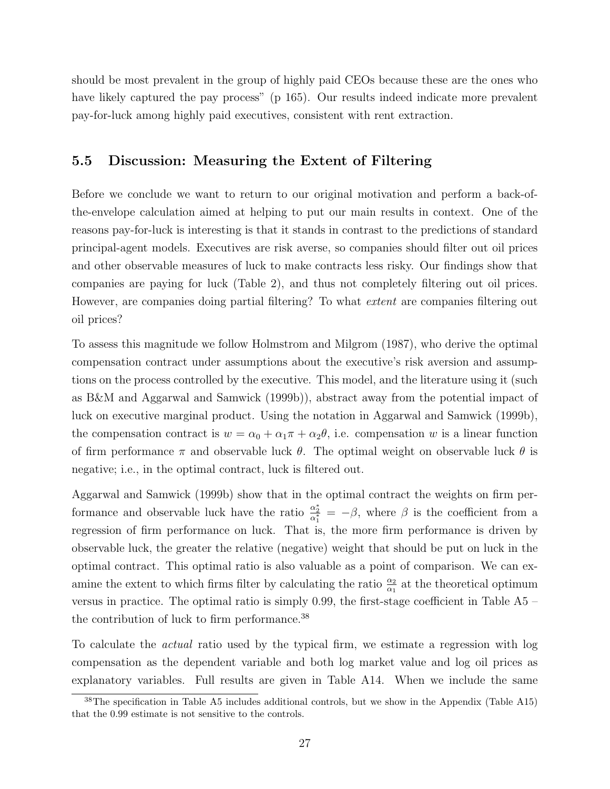should be most prevalent in the group of highly paid CEOs because these are the ones who have likely captured the pay process" (p 165). Our results indeed indicate more prevalent pay-for-luck among highly paid executives, consistent with rent extraction.

## 5.5 Discussion: Measuring the Extent of Filtering

Before we conclude we want to return to our original motivation and perform a back-ofthe-envelope calculation aimed at helping to put our main results in context. One of the reasons pay-for-luck is interesting is that it stands in contrast to the predictions of standard principal-agent models. Executives are risk averse, so companies should filter out oil prices and other observable measures of luck to make contracts less risky. Our findings show that companies are paying for luck (Table 2), and thus not completely filtering out oil prices. However, are companies doing partial filtering? To what *extent* are companies filtering out oil prices?

To assess this magnitude we follow Holmstrom and Milgrom (1987), who derive the optimal compensation contract under assumptions about the executive's risk aversion and assumptions on the process controlled by the executive. This model, and the literature using it (such as B&M and Aggarwal and Samwick (1999b)), abstract away from the potential impact of luck on executive marginal product. Using the notation in Aggarwal and Samwick (1999b), the compensation contract is  $w = \alpha_0 + \alpha_1 \pi + \alpha_2 \theta$ , i.e. compensation w is a linear function of firm performance  $\pi$  and observable luck  $\theta$ . The optimal weight on observable luck  $\theta$  is negative; i.e., in the optimal contract, luck is filtered out.

Aggarwal and Samwick (1999b) show that in the optimal contract the weights on firm performance and observable luck have the ratio  $\frac{\alpha_2^*}{\alpha_1^*} = -\beta$ , where  $\beta$  is the coefficient from a regression of firm performance on luck. That is, the more firm performance is driven by observable luck, the greater the relative (negative) weight that should be put on luck in the optimal contract. This optimal ratio is also valuable as a point of comparison. We can examine the extent to which firms filter by calculating the ratio  $\frac{\alpha_2}{\alpha_1}$  at the theoretical optimum versus in practice. The optimal ratio is simply 0.99, the first-stage coefficient in Table A5 – the contribution of luck to firm performance.<sup>38</sup>

To calculate the actual ratio used by the typical firm, we estimate a regression with log compensation as the dependent variable and both log market value and log oil prices as explanatory variables. Full results are given in Table A14. When we include the same

 $38$ The specification in Table A5 includes additional controls, but we show in the Appendix (Table A15) that the 0.99 estimate is not sensitive to the controls.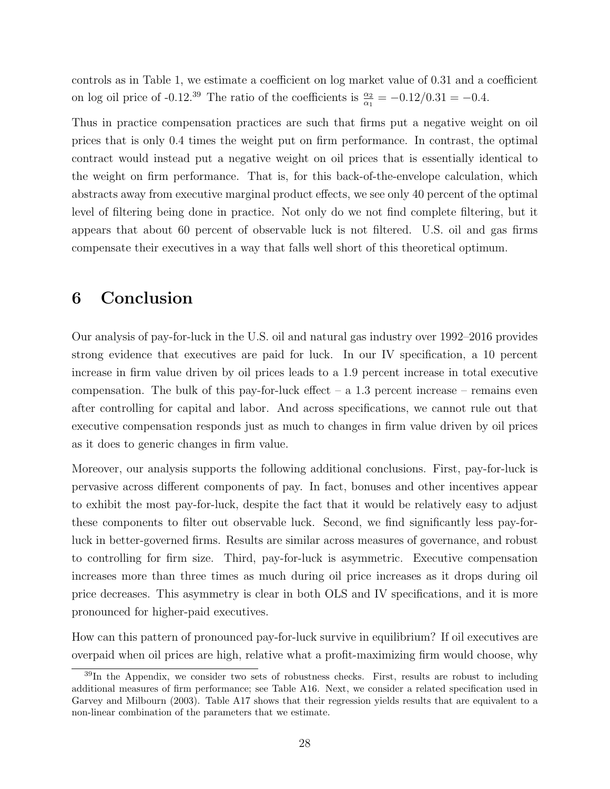controls as in Table 1, we estimate a coefficient on log market value of 0.31 and a coefficient on log oil price of -0.12.<sup>39</sup> The ratio of the coefficients is  $\frac{\alpha_2}{\alpha_1} = -0.12/0.31 = -0.4$ .

Thus in practice compensation practices are such that firms put a negative weight on oil prices that is only 0.4 times the weight put on firm performance. In contrast, the optimal contract would instead put a negative weight on oil prices that is essentially identical to the weight on firm performance. That is, for this back-of-the-envelope calculation, which abstracts away from executive marginal product effects, we see only 40 percent of the optimal level of filtering being done in practice. Not only do we not find complete filtering, but it appears that about 60 percent of observable luck is not filtered. U.S. oil and gas firms compensate their executives in a way that falls well short of this theoretical optimum.

# 6 Conclusion

Our analysis of pay-for-luck in the U.S. oil and natural gas industry over 1992–2016 provides strong evidence that executives are paid for luck. In our IV specification, a 10 percent increase in firm value driven by oil prices leads to a 1.9 percent increase in total executive compensation. The bulk of this pay-for-luck effect  $-$  a 1.3 percent increase  $-$  remains even after controlling for capital and labor. And across specifications, we cannot rule out that executive compensation responds just as much to changes in firm value driven by oil prices as it does to generic changes in firm value.

Moreover, our analysis supports the following additional conclusions. First, pay-for-luck is pervasive across different components of pay. In fact, bonuses and other incentives appear to exhibit the most pay-for-luck, despite the fact that it would be relatively easy to adjust these components to filter out observable luck. Second, we find significantly less pay-forluck in better-governed firms. Results are similar across measures of governance, and robust to controlling for firm size. Third, pay-for-luck is asymmetric. Executive compensation increases more than three times as much during oil price increases as it drops during oil price decreases. This asymmetry is clear in both OLS and IV specifications, and it is more pronounced for higher-paid executives.

How can this pattern of pronounced pay-for-luck survive in equilibrium? If oil executives are overpaid when oil prices are high, relative what a profit-maximizing firm would choose, why

<sup>&</sup>lt;sup>39</sup>In the Appendix, we consider two sets of robustness checks. First, results are robust to including additional measures of firm performance; see Table A16. Next, we consider a related specification used in Garvey and Milbourn (2003). Table A17 shows that their regression yields results that are equivalent to a non-linear combination of the parameters that we estimate.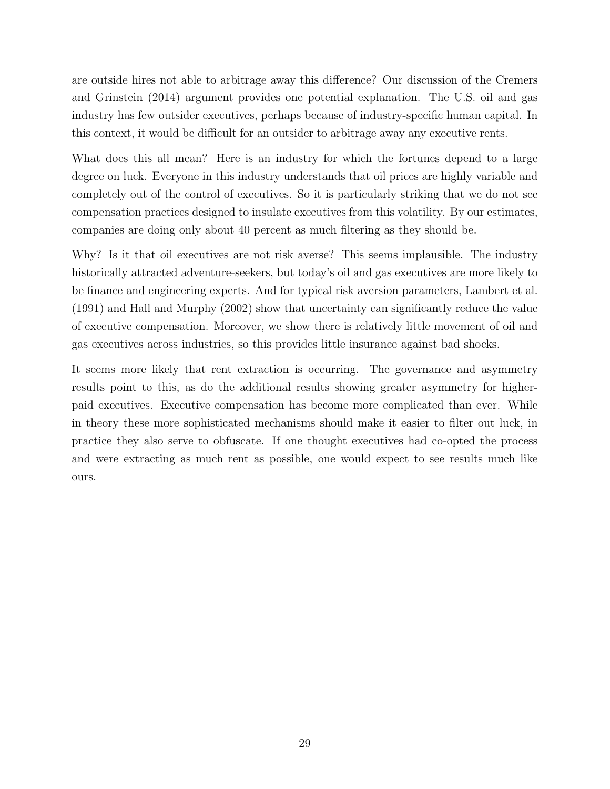are outside hires not able to arbitrage away this difference? Our discussion of the Cremers and Grinstein (2014) argument provides one potential explanation. The U.S. oil and gas industry has few outsider executives, perhaps because of industry-specific human capital. In this context, it would be difficult for an outsider to arbitrage away any executive rents.

What does this all mean? Here is an industry for which the fortunes depend to a large degree on luck. Everyone in this industry understands that oil prices are highly variable and completely out of the control of executives. So it is particularly striking that we do not see compensation practices designed to insulate executives from this volatility. By our estimates, companies are doing only about 40 percent as much filtering as they should be.

Why? Is it that oil executives are not risk averse? This seems implausible. The industry historically attracted adventure-seekers, but today's oil and gas executives are more likely to be finance and engineering experts. And for typical risk aversion parameters, Lambert et al. (1991) and Hall and Murphy (2002) show that uncertainty can significantly reduce the value of executive compensation. Moreover, we show there is relatively little movement of oil and gas executives across industries, so this provides little insurance against bad shocks.

It seems more likely that rent extraction is occurring. The governance and asymmetry results point to this, as do the additional results showing greater asymmetry for higherpaid executives. Executive compensation has become more complicated than ever. While in theory these more sophisticated mechanisms should make it easier to filter out luck, in practice they also serve to obfuscate. If one thought executives had co-opted the process and were extracting as much rent as possible, one would expect to see results much like ours.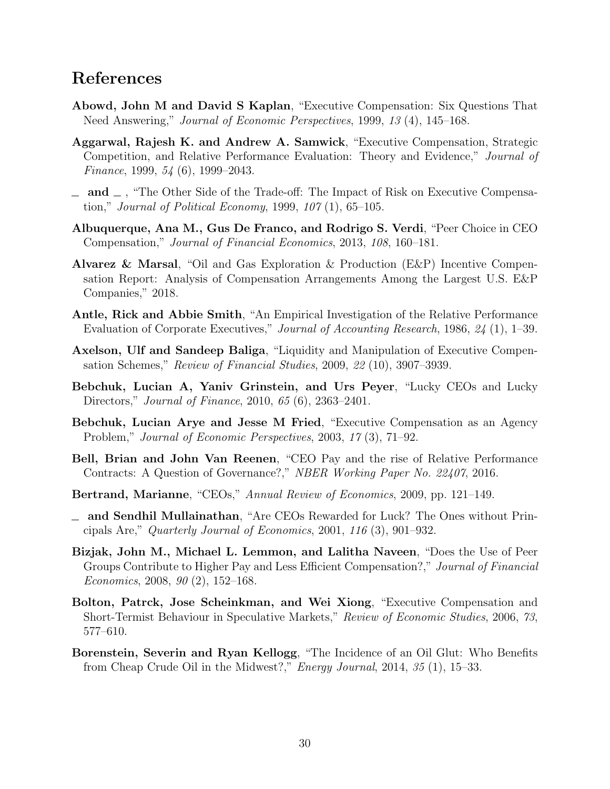# References

- Abowd, John M and David S Kaplan, "Executive Compensation: Six Questions That Need Answering," Journal of Economic Perspectives, 1999, 13 (4), 145–168.
- Aggarwal, Rajesh K. and Andrew A. Samwick, "Executive Compensation, Strategic Competition, and Relative Performance Evaluation: Theory and Evidence," Journal of Finance, 1999, 54 (6), 1999–2043.
- $\Box$  and  $\Box$ , "The Other Side of the Trade-off: The Impact of Risk on Executive Compensation," Journal of Political Economy, 1999, 107 (1), 65–105.
- Albuquerque, Ana M., Gus De Franco, and Rodrigo S. Verdi, "Peer Choice in CEO Compensation," Journal of Financial Economics, 2013, 108, 160–181.
- Alvarez & Marsal, "Oil and Gas Exploration & Production (E&P) Incentive Compensation Report: Analysis of Compensation Arrangements Among the Largest U.S. E&P Companies," 2018.
- Antle, Rick and Abbie Smith, "An Empirical Investigation of the Relative Performance Evaluation of Corporate Executives," Journal of Accounting Research, 1986, 24 (1), 1–39.
- Axelson, Ulf and Sandeep Baliga, "Liquidity and Manipulation of Executive Compensation Schemes," Review of Financial Studies, 2009, 22 (10), 3907–3939.
- Bebchuk, Lucian A, Yaniv Grinstein, and Urs Peyer, "Lucky CEOs and Lucky Directors," Journal of Finance, 2010, 65 (6), 2363–2401.
- Bebchuk, Lucian Arye and Jesse M Fried, "Executive Compensation as an Agency Problem," Journal of Economic Perspectives, 2003, 17 (3), 71–92.
- Bell, Brian and John Van Reenen, "CEO Pay and the rise of Relative Performance Contracts: A Question of Governance?," NBER Working Paper No. 22407, 2016.
- Bertrand, Marianne, "CEOs," Annual Review of Economics, 2009, pp. 121–149.
- and Sendhil Mullainathan, "Are CEOs Rewarded for Luck? The Ones without Principals Are," Quarterly Journal of Economics, 2001, 116 (3), 901–932.
- Bizjak, John M., Michael L. Lemmon, and Lalitha Naveen, "Does the Use of Peer Groups Contribute to Higher Pay and Less Efficient Compensation?," Journal of Financial Economics, 2008, 90 (2), 152–168.
- Bolton, Patrck, Jose Scheinkman, and Wei Xiong, "Executive Compensation and Short-Termist Behaviour in Speculative Markets," Review of Economic Studies, 2006, 73, 577–610.
- Borenstein, Severin and Ryan Kellogg, "The Incidence of an Oil Glut: Who Benefits from Cheap Crude Oil in the Midwest?," Energy Journal, 2014, 35 (1), 15–33.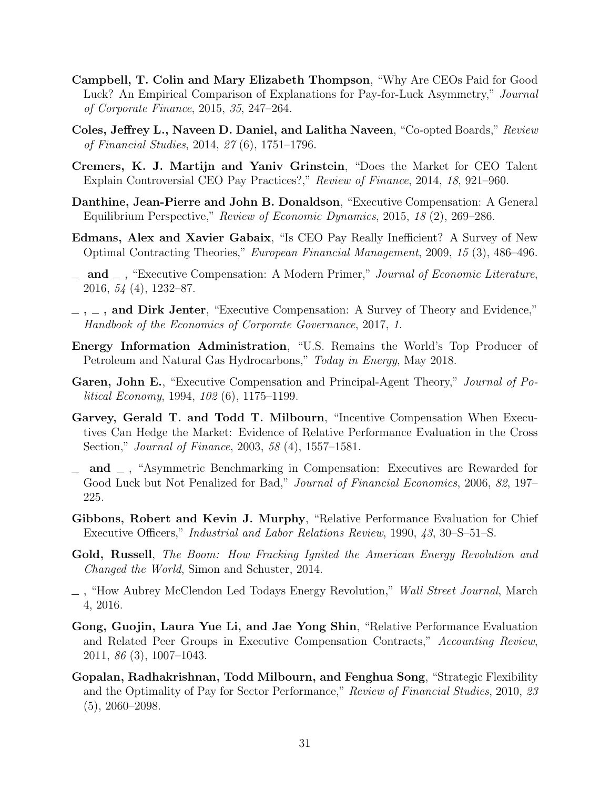- Campbell, T. Colin and Mary Elizabeth Thompson, "Why Are CEOs Paid for Good Luck? An Empirical Comparison of Explanations for Pay-for-Luck Asymmetry," Journal of Corporate Finance, 2015, 35, 247–264.
- Coles, Jeffrey L., Naveen D. Daniel, and Lalitha Naveen, "Co-opted Boards," Review of Financial Studies, 2014, 27 (6), 1751–1796.
- Cremers, K. J. Martijn and Yaniv Grinstein, "Does the Market for CEO Talent Explain Controversial CEO Pay Practices?," Review of Finance, 2014, 18, 921–960.
- Danthine, Jean-Pierre and John B. Donaldson, "Executive Compensation: A General Equilibrium Perspective," Review of Economic Dynamics, 2015, 18 (2), 269–286.
- Edmans, Alex and Xavier Gabaix, "Is CEO Pay Really Inefficient? A Survey of New Optimal Contracting Theories," European Financial Management, 2009, 15 (3), 486–496.
- $\Box$  and  $\Box$ , "Executive Compensation: A Modern Primer," Journal of Economic Literature, 2016, 54 (4), 1232–87.
- $\ldots$ , and Dirk Jenter, "Executive Compensation: A Survey of Theory and Evidence," Handbook of the Economics of Corporate Governance, 2017, 1.
- Energy Information Administration, "U.S. Remains the World's Top Producer of Petroleum and Natural Gas Hydrocarbons," Today in Energy, May 2018.
- Garen, John E., "Executive Compensation and Principal-Agent Theory," Journal of Political Economy, 1994, 102 (6), 1175–1199.
- Garvey, Gerald T. and Todd T. Milbourn, "Incentive Compensation When Executives Can Hedge the Market: Evidence of Relative Performance Evaluation in the Cross Section," Journal of Finance, 2003, 58 (4), 1557–1581.
- $\Box$  and  $\Box$ , "Asymmetric Benchmarking in Compensation: Executives are Rewarded for Good Luck but Not Penalized for Bad," Journal of Financial Economics, 2006, 82, 197– 225.
- Gibbons, Robert and Kevin J. Murphy, "Relative Performance Evaluation for Chief Executive Officers," Industrial and Labor Relations Review, 1990, 43, 30–S–51–S.
- Gold, Russell, The Boom: How Fracking Ignited the American Energy Revolution and Changed the World, Simon and Schuster, 2014.
- $\Box$ , "How Aubrey McClendon Led Todays Energy Revolution," Wall Street Journal, March 4, 2016.
- Gong, Guojin, Laura Yue Li, and Jae Yong Shin, "Relative Performance Evaluation and Related Peer Groups in Executive Compensation Contracts," Accounting Review, 2011, 86 (3), 1007–1043.
- Gopalan, Radhakrishnan, Todd Milbourn, and Fenghua Song, "Strategic Flexibility and the Optimality of Pay for Sector Performance," Review of Financial Studies, 2010, 23 (5), 2060–2098.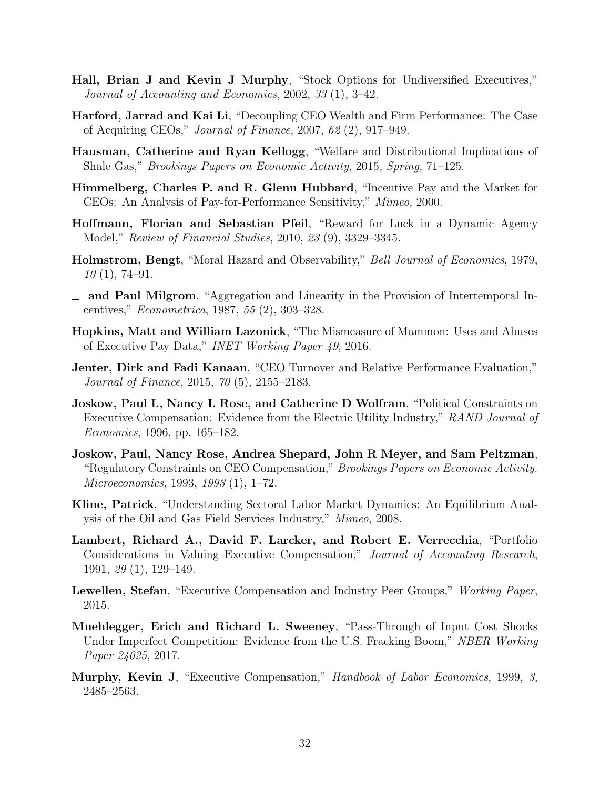- Hall, Brian J and Kevin J Murphy, "Stock Options for Undiversified Executives," Journal of Accounting and Economics, 2002, 33 (1), 3–42.
- Harford, Jarrad and Kai Li, "Decoupling CEO Wealth and Firm Performance: The Case of Acquiring CEOs," Journal of Finance, 2007, 62 (2), 917–949.
- Hausman, Catherine and Ryan Kellogg, "Welfare and Distributional Implications of Shale Gas," Brookings Papers on Economic Activity, 2015, Spring, 71–125.
- Himmelberg, Charles P. and R. Glenn Hubbard, "Incentive Pay and the Market for CEOs: An Analysis of Pay-for-Performance Sensitivity," Mimeo, 2000.
- Hoffmann, Florian and Sebastian Pfeil, "Reward for Luck in a Dynamic Agency Model," Review of Financial Studies, 2010, 23 (9), 3329–3345.
- Holmstrom, Bengt, "Moral Hazard and Observability," Bell Journal of Economics, 1979,  $10(1), 74-91.$
- and Paul Milgrom, "Aggregation and Linearity in the Provision of Intertemporal Incentives," Econometrica, 1987, 55 (2), 303–328.
- Hopkins, Matt and William Lazonick, "The Mismeasure of Mammon: Uses and Abuses of Executive Pay Data," INET Working Paper 49, 2016.
- Jenter, Dirk and Fadi Kanaan, "CEO Turnover and Relative Performance Evaluation," Journal of Finance, 2015, 70 (5), 2155–2183.
- Joskow, Paul L, Nancy L Rose, and Catherine D Wolfram, "Political Constraints on Executive Compensation: Evidence from the Electric Utility Industry," RAND Journal of Economics, 1996, pp. 165–182.
- Joskow, Paul, Nancy Rose, Andrea Shepard, John R Meyer, and Sam Peltzman, "Regulatory Constraints on CEO Compensation," Brookings Papers on Economic Activity. Microeconomics, 1993, 1993 (1), 1–72.
- Kline, Patrick, "Understanding Sectoral Labor Market Dynamics: An Equilibrium Analysis of the Oil and Gas Field Services Industry," Mimeo, 2008.
- Lambert, Richard A., David F. Larcker, and Robert E. Verrecchia, "Portfolio Considerations in Valuing Executive Compensation," Journal of Accounting Research, 1991, 29 (1), 129–149.
- Lewellen, Stefan, "Executive Compensation and Industry Peer Groups," Working Paper, 2015.
- Muehlegger, Erich and Richard L. Sweeney, "Pass-Through of Input Cost Shocks Under Imperfect Competition: Evidence from the U.S. Fracking Boom," NBER Working Paper 24025, 2017.
- Murphy, Kevin J, "Executive Compensation," Handbook of Labor Economics, 1999, 3, 2485–2563.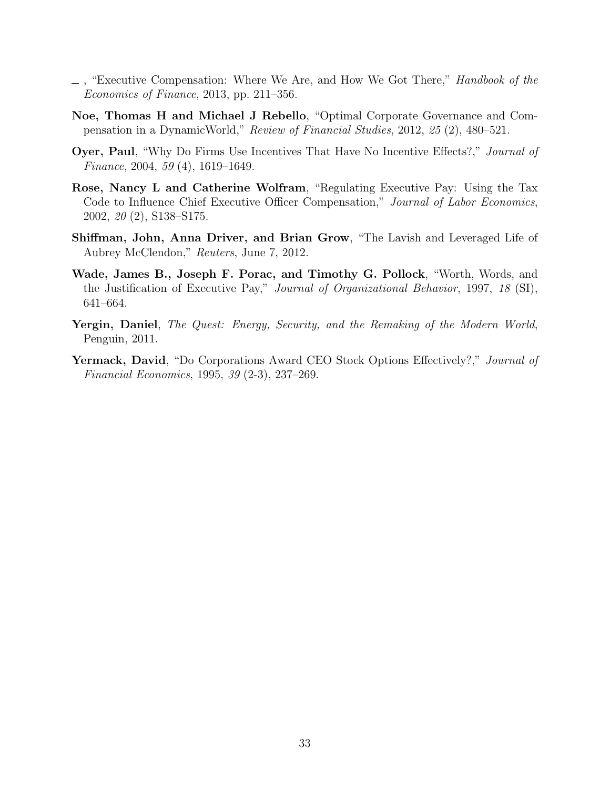- $\Box$ , "Executive Compensation: Where We Are, and How We Got There," *Handbook of the* Economics of Finance, 2013, pp. 211–356.
- Noe, Thomas H and Michael J Rebello, "Optimal Corporate Governance and Compensation in a DynamicWorld," Review of Financial Studies, 2012, 25 (2), 480–521.
- Oyer, Paul, "Why Do Firms Use Incentives That Have No Incentive Effects?," Journal of Finance, 2004, 59 (4), 1619–1649.
- Rose, Nancy L and Catherine Wolfram, "Regulating Executive Pay: Using the Tax Code to Influence Chief Executive Officer Compensation," Journal of Labor Economics, 2002, 20 (2), S138–S175.
- Shiffman, John, Anna Driver, and Brian Grow, "The Lavish and Leveraged Life of Aubrey McClendon," Reuters, June 7, 2012.
- Wade, James B., Joseph F. Porac, and Timothy G. Pollock, "Worth, Words, and the Justification of Executive Pay," Journal of Organizational Behavior, 1997, 18 (SI), 641–664.
- Yergin, Daniel, The Quest: Energy, Security, and the Remaking of the Modern World, Penguin, 2011.
- Yermack, David, "Do Corporations Award CEO Stock Options Effectively?," Journal of Financial Economics, 1995, 39 (2-3), 237–269.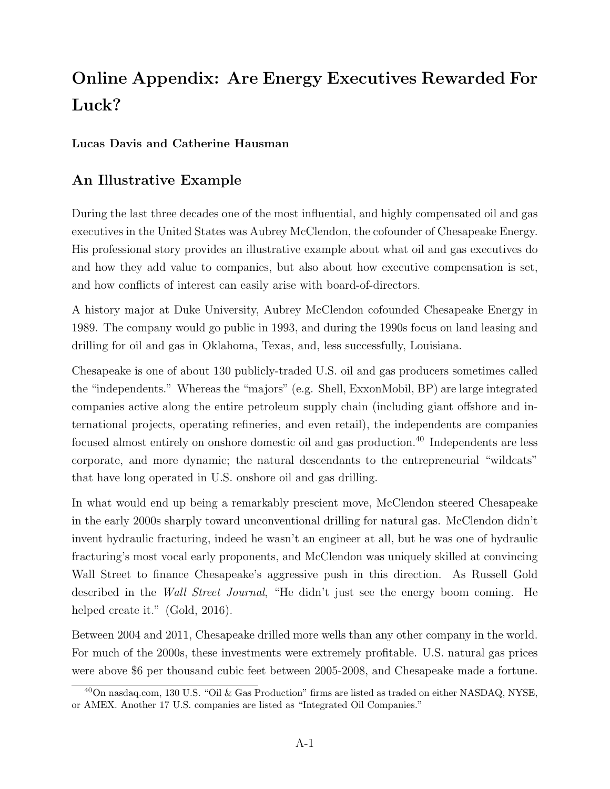# Online Appendix: Are Energy Executives Rewarded For Luck?

## Lucas Davis and Catherine Hausman

## An Illustrative Example

During the last three decades one of the most influential, and highly compensated oil and gas executives in the United States was Aubrey McClendon, the cofounder of Chesapeake Energy. His professional story provides an illustrative example about what oil and gas executives do and how they add value to companies, but also about how executive compensation is set, and how conflicts of interest can easily arise with board-of-directors.

A history major at Duke University, Aubrey McClendon cofounded Chesapeake Energy in 1989. The company would go public in 1993, and during the 1990s focus on land leasing and drilling for oil and gas in Oklahoma, Texas, and, less successfully, Louisiana.

Chesapeake is one of about 130 publicly-traded U.S. oil and gas producers sometimes called the "independents." Whereas the "majors" (e.g. Shell, ExxonMobil, BP) are large integrated companies active along the entire petroleum supply chain (including giant offshore and international projects, operating refineries, and even retail), the independents are companies focused almost entirely on onshore domestic oil and gas production.<sup>40</sup> Independents are less corporate, and more dynamic; the natural descendants to the entrepreneurial "wildcats" that have long operated in U.S. onshore oil and gas drilling.

In what would end up being a remarkably prescient move, McClendon steered Chesapeake in the early 2000s sharply toward unconventional drilling for natural gas. McClendon didn't invent hydraulic fracturing, indeed he wasn't an engineer at all, but he was one of hydraulic fracturing's most vocal early proponents, and McClendon was uniquely skilled at convincing Wall Street to finance Chesapeake's aggressive push in this direction. As Russell Gold described in the Wall Street Journal, "He didn't just see the energy boom coming. He helped create it." (Gold, 2016).

Between 2004 and 2011, Chesapeake drilled more wells than any other company in the world. For much of the 2000s, these investments were extremely profitable. U.S. natural gas prices were above \$6 per thousand cubic feet between 2005-2008, and Chesapeake made a fortune.

 $^{40}$ On nasdaq.com, 130 U.S. "Oil & Gas Production" firms are listed as traded on either NASDAQ, NYSE, or AMEX. Another 17 U.S. companies are listed as "Integrated Oil Companies."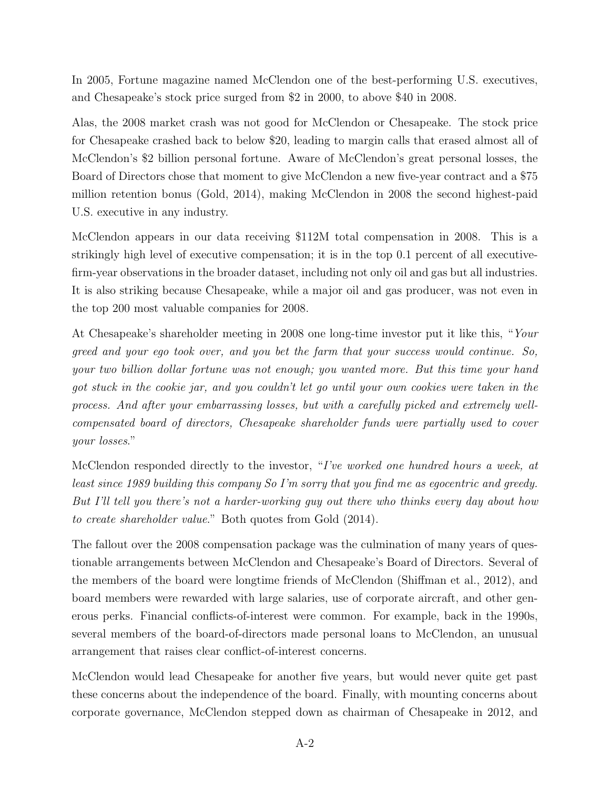In 2005, Fortune magazine named McClendon one of the best-performing U.S. executives, and Chesapeake's stock price surged from \$2 in 2000, to above \$40 in 2008.

Alas, the 2008 market crash was not good for McClendon or Chesapeake. The stock price for Chesapeake crashed back to below \$20, leading to margin calls that erased almost all of McClendon's \$2 billion personal fortune. Aware of McClendon's great personal losses, the Board of Directors chose that moment to give McClendon a new five-year contract and a \$75 million retention bonus (Gold, 2014), making McClendon in 2008 the second highest-paid U.S. executive in any industry.

McClendon appears in our data receiving \$112M total compensation in 2008. This is a strikingly high level of executive compensation; it is in the top 0.1 percent of all executivefirm-year observations in the broader dataset, including not only oil and gas but all industries. It is also striking because Chesapeake, while a major oil and gas producer, was not even in the top 200 most valuable companies for 2008.

At Chesapeake's shareholder meeting in 2008 one long-time investor put it like this, "Your greed and your ego took over, and you bet the farm that your success would continue. So, your two billion dollar fortune was not enough; you wanted more. But this time your hand got stuck in the cookie jar, and you couldn't let go until your own cookies were taken in the process. And after your embarrassing losses, but with a carefully picked and extremely wellcompensated board of directors, Chesapeake shareholder funds were partially used to cover your losses."

McClendon responded directly to the investor, "I've worked one hundred hours a week, at least since 1989 building this company So I'm sorry that you find me as egocentric and greedy. But I'll tell you there's not a harder-working guy out there who thinks every day about how to create shareholder value." Both quotes from Gold (2014).

The fallout over the 2008 compensation package was the culmination of many years of questionable arrangements between McClendon and Chesapeake's Board of Directors. Several of the members of the board were longtime friends of McClendon (Shiffman et al., 2012), and board members were rewarded with large salaries, use of corporate aircraft, and other generous perks. Financial conflicts-of-interest were common. For example, back in the 1990s, several members of the board-of-directors made personal loans to McClendon, an unusual arrangement that raises clear conflict-of-interest concerns.

McClendon would lead Chesapeake for another five years, but would never quite get past these concerns about the independence of the board. Finally, with mounting concerns about corporate governance, McClendon stepped down as chairman of Chesapeake in 2012, and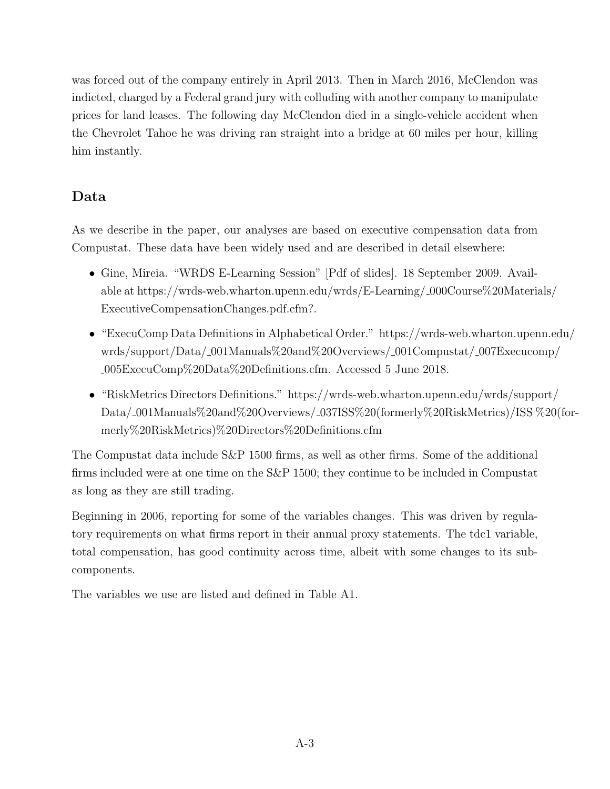was forced out of the company entirely in April 2013. Then in March 2016, McClendon was indicted, charged by a Federal grand jury with colluding with another company to manipulate prices for land leases. The following day McClendon died in a single-vehicle accident when the Chevrolet Tahoe he was driving ran straight into a bridge at 60 miles per hour, killing him instantly.

# Data

As we describe in the paper, our analyses are based on executive compensation data from Compustat. These data have been widely used and are described in detail elsewhere:

- Gine, Mireia. "WRDS E-Learning Session" [Pdf of slides]. 18 September 2009. Available at https://wrds-web.wharton.upenn.edu/wrds/E-Learning/ 000Course%20Materials/ ExecutiveCompensationChanges.pdf.cfm?.
- "ExecuComp Data Definitions in Alphabetical Order." https://wrds-web.wharton.upenn.edu/ wrds/support/Data/ 001Manuals%20and%20Overviews/ 001Compustat/ 007Execucomp/ 005ExecuComp%20Data%20Definitions.cfm. Accessed 5 June 2018.
- "RiskMetrics Directors Definitions." https://wrds-web.wharton.upenn.edu/wrds/support/ Data/ 001Manuals%20and%20Overviews/ 037ISS%20(formerly%20RiskMetrics)/ISS %20(formerly%20RiskMetrics)%20Directors%20Definitions.cfm

The Compustat data include S&P 1500 firms, as well as other firms. Some of the additional firms included were at one time on the S&P 1500; they continue to be included in Compustat as long as they are still trading.

Beginning in 2006, reporting for some of the variables changes. This was driven by regulatory requirements on what firms report in their annual proxy statements. The tdc1 variable, total compensation, has good continuity across time, albeit with some changes to its subcomponents.

The variables we use are listed and defined in Table A1.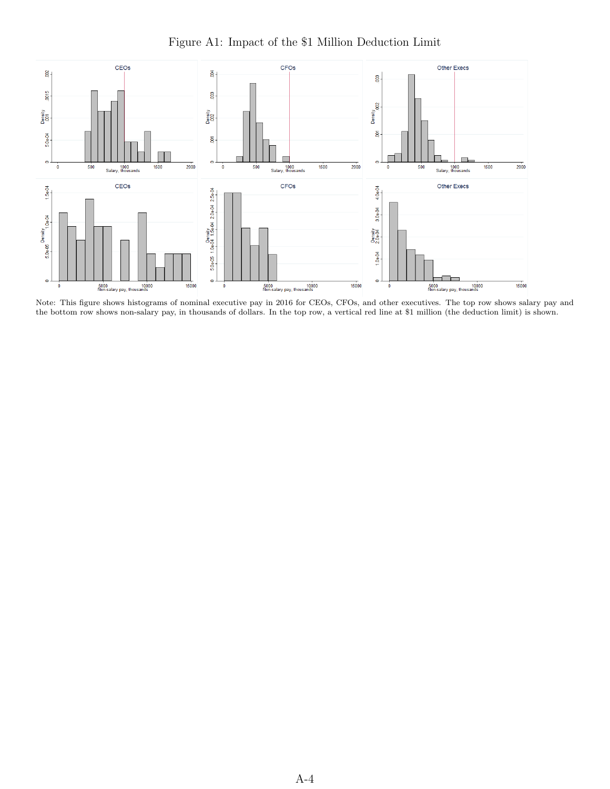

Figure A1: Impact of the \$1 Million Deduction Limit

Note: This figure shows histograms of nominal executive pay in 2016 for CEOs, CFOs, and other executives. The top row shows salary pay and the bottom row shows non-salary pay, in thousands of dollars. In the top row, a vertical red line at \$1 million (the deduction limit) is shown.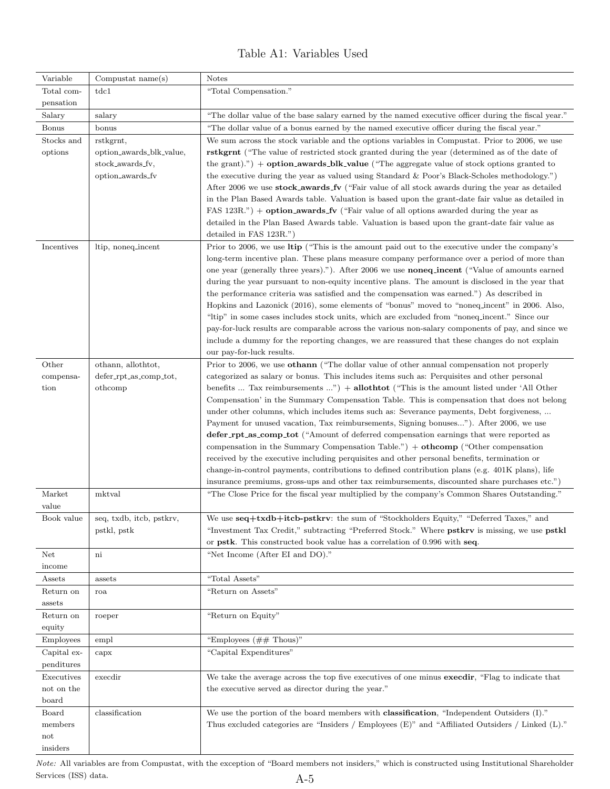## Table A1: Variables Used

| Variable       | Compustat $name(s)$                   | <b>Notes</b>                                                                                                                                                                                     |
|----------------|---------------------------------------|--------------------------------------------------------------------------------------------------------------------------------------------------------------------------------------------------|
| Total com-     | tdc1                                  | "Total Compensation."                                                                                                                                                                            |
| pensation      |                                       |                                                                                                                                                                                                  |
| Salary         | salary                                | "The dollar value of the base salary earned by the named executive officer during the fiscal year."                                                                                              |
| <b>Bonus</b>   | bonus                                 | "The dollar value of a bonus earned by the named executive officer during the fiscal year."                                                                                                      |
| Stocks and     | rstkgrnt,                             | We sum across the stock variable and the options variables in Compustat. Prior to 2006, we use                                                                                                   |
| options        | option_awards_blk_value,              | rstkgrnt ("The value of restricted stock granted during the year (determined as of the date of                                                                                                   |
|                | stock_awards_fv,                      | the grant).") + $option_awards_blk_value$ ("The aggregate value of stock options granted to                                                                                                      |
|                | option_awards_fv                      | the executive during the year as valued using Standard & Poor's Black-Scholes methodology.")                                                                                                     |
|                |                                       | After 2006 we use stock_awards_fv ("Fair value of all stock awards during the year as detailed                                                                                                   |
|                |                                       | in the Plan Based Awards table. Valuation is based upon the grant-date fair value as detailed in                                                                                                 |
|                |                                       | FAS 123R.") + option_awards_fv ("Fair value of all options awarded during the year as                                                                                                            |
|                |                                       | detailed in the Plan Based Awards table. Valuation is based upon the grant-date fair value as                                                                                                    |
|                |                                       | detailed in FAS 123R.")                                                                                                                                                                          |
| Incentives     | ltip, noneq_incent                    | Prior to 2006, we use Itip ("This is the amount paid out to the executive under the company's                                                                                                    |
|                |                                       | long-term incentive plan. These plans measure company performance over a period of more than                                                                                                     |
|                |                                       | one year (generally three years)."). After 2006 we use <b>noneq_incent</b> ("Value of amounts earned                                                                                             |
|                |                                       | during the year pursuant to non-equity incentive plans. The amount is disclosed in the year that                                                                                                 |
|                |                                       | the performance criteria was satisfied and the compensation was earned.") As described in<br>Hopkins and Lazonick (2016), some elements of "bonus" moved to "noneq_incent" in 2006. Also,        |
|                |                                       | "ltip" in some cases includes stock units, which are excluded from "noneq_incent." Since our                                                                                                     |
|                |                                       | pay-for-luck results are comparable across the various non-salary components of pay, and since we                                                                                                |
|                |                                       | include a dummy for the reporting changes, we are reassured that these changes do not explain                                                                                                    |
|                |                                       | our pay-for-luck results.                                                                                                                                                                        |
| Other          | othann, allothtot,                    | Prior to 2006, we use other ("The dollar value of other annual compensation not properly                                                                                                         |
| compensa-      | defer_rpt_as_comp_tot,                | categorized as salary or bonus. This includes items such as: Perquisites and other personal                                                                                                      |
| tion           | othcomp                               | benefits  Tax reimbursements ") $+$ allothtot ("This is the amount listed under 'All Other                                                                                                       |
|                |                                       | Compensation' in the Summary Compensation Table. This is compensation that does not belong                                                                                                       |
|                |                                       | under other columns, which includes items such as: Severance payments, Debt forgiveness,                                                                                                         |
|                |                                       | Payment for unused vacation, Tax reimbursements, Signing bonuses"). After 2006, we use                                                                                                           |
|                |                                       | defer_rpt_as_comp_tot ("Amount of deferred compensation earnings that were reported as                                                                                                           |
|                |                                       | compensation in the Summary Compensation Table.") $+$ othcomp ("Other compensation                                                                                                               |
|                |                                       | received by the executive including perquisites and other personal benefits, termination or                                                                                                      |
|                |                                       | change-in-control payments, contributions to defined contribution plans (e.g. 401K plans), life<br>insurance premiums, gross-ups and other tax reimbursements, discounted share purchases etc.") |
| Market         | mktval                                | "The Close Price for the fiscal year multiplied by the company's Common Shares Outstanding."                                                                                                     |
| value          |                                       |                                                                                                                                                                                                  |
|                | Book value   seq, txdb, itcb, pstkrv, | We use $seq +txdb + itcb-pstkrv$ : the sum of "Stockholders Equity," "Deferred Taxes," and                                                                                                       |
|                | pstkl, pstk                           | "Investment Tax Credit," subtracting "Preferred Stock." Where pstkrv is missing, we use pstkl                                                                                                    |
|                |                                       | or pstk. This constructed book value has a correlation of 0.996 with seq.                                                                                                                        |
| Net            | $\mathbf{ni}$                         | "Net Income (After EI and DO)."                                                                                                                                                                  |
| income         |                                       |                                                                                                                                                                                                  |
| Assets         | assets                                | "Total Assets"                                                                                                                                                                                   |
| Return on      | roa                                   | "Return on Assets"                                                                                                                                                                               |
| assets         |                                       |                                                                                                                                                                                                  |
| Return on      | roeper                                | "Return on Equity"                                                                                                                                                                               |
| equity         |                                       |                                                                                                                                                                                                  |
| Employees      | empl                                  | "Employees $(\#\# \text{ Thus})$ "                                                                                                                                                               |
| Capital ex-    | capx                                  | "Capital Expenditures"                                                                                                                                                                           |
| penditures     |                                       |                                                                                                                                                                                                  |
| Executives     | execdir                               | We take the average across the top five executives of one minus execdir, "Flag to indicate that                                                                                                  |
| not on the     |                                       | the executive served as director during the year."                                                                                                                                               |
| board          |                                       |                                                                                                                                                                                                  |
| Board          | classification                        | We use the portion of the board members with classification, "Independent Outsiders (I)."                                                                                                        |
| members<br>not |                                       | Thus excluded categories are "Insiders / Employees (E)" and "Affiliated Outsiders / Linked (L)."                                                                                                 |
| insiders       |                                       |                                                                                                                                                                                                  |
|                |                                       |                                                                                                                                                                                                  |

Note: All variables are from Compustat, with the exception of "Board members not insiders," which is constructed using Institutional Shareholder Services (ISS) data.  $A-5$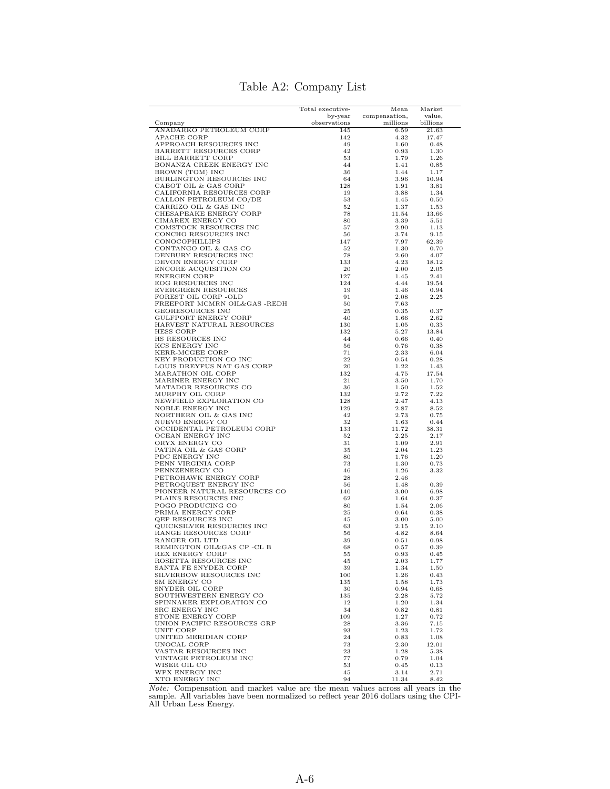|                                                  | Total executive- |                       |                  |
|--------------------------------------------------|------------------|-----------------------|------------------|
|                                                  | by-year          | Mean<br>compensation, | Market<br>value, |
| Company                                          | observations     | millions              | billions         |
| ANADARKO PETROLEUM CORP                          | 145              | 6.59                  | 21.63            |
| APACHE CORP                                      | 142              | 4.32                  | 17.47            |
| APPROACH RESOURCES INC                           | 49<br>42         | 1.60                  | 0.48             |
| BARRETT RESOURCES CORP<br>BILL BARRETT CORP      | 53               | 0.93<br>1.79          | 1.30<br>1.26     |
| BONANZA CREEK ENERGY INC                         | 44               | 1.41                  | 0.85             |
| BROWN (TOM) INC                                  | 36               | 1.44                  | 1.17             |
| BURLINGTON RESOURCES INC                         | 64               | 3.96                  | 10.94            |
| CABOT OIL & GAS CORP                             | 128              | 1.91                  | 3.81             |
| CALIFORNIA RESOURCES CORP                        | 19               | 3.88                  | 1.34             |
| CALLON PETROLEUM CO/DE<br>CARRIZO OIL & GAS INC  | 53<br>52         | 1.45<br>1.37          | 0.50<br>1.53     |
| CHESAPEAKE ENERGY CORP                           | 78               | 11.54                 | 13.66            |
| CIMAREX ENERGY CO                                | 80               | 3.39                  | 5.51             |
| COMSTOCK RESOURCES INC                           | 57               | 2.90                  | 1.13             |
| CONCHO RESOURCES INC                             | 56               | 3.74                  | 9.15             |
| CONOCOPHILLIPS                                   | 147              | 7.97                  | 62.39            |
| CONTANGO OIL & GAS CO                            | 52<br>78         | 1.30                  | 0.70             |
| DENBURY RESOURCES INC<br>DEVON ENERGY CORP       | 133              | 2.60<br>4.23          | 4.07<br>18.12    |
| ENCORE ACQUISITION CO                            | 20               | 2.00                  | 2.05             |
| ENERGEN CORP                                     | 127              | 1.45                  | 2.41             |
| EOG RESOURCES INC                                | 124              | 4.44                  | 19.54            |
| EVERGREEN RESOURCES                              | 19               | 1.46                  | 0.94             |
| FOREST OIL CORP -OLD                             | 91               | 2.08                  | 2.25             |
| FREEPORT MCMRN OIL&GAS -REDH<br>GEORESOURCES INC | 50<br>25         | 7.63<br>0.35          | 0.37             |
| GULFPORT ENERGY CORP                             | 40               | 1.66                  | 2.62             |
| HARVEST NATURAL RESOURCES                        | 130              | 1.05                  | 0.33             |
| <b>HESS CORP</b>                                 | 132              | 5.27                  | 13.84            |
| HS RESOURCES INC                                 | 44               | 0.66                  | 0.40             |
| KCS ENERGY INC                                   | 56               | 0.76                  | 0.38             |
| KERR-MCGEE CORP                                  | 71               | 2.33                  | 6.04             |
| KEY PRODUCTION CO INC                            | 22               | 0.54                  | 0.28             |
| LOUIS DREYFUS NAT GAS CORP<br>MARATHON OIL CORP  | 20<br>132        | 1.22<br>4.75          | 1.43<br>17.54    |
| MARINER ENERGY INC                               | 21               | 3.50                  | 1.70             |
| MATADOR RESOURCES CO                             | 36               | 1.50                  | 1.52             |
| MURPHY OIL CORP                                  | 132              | 2.72                  | 7.22             |
| NEWFIELD EXPLORATION CO                          | 128              | 2.47                  | 4.13             |
| NOBLE ENERGY INC                                 | 129              | 2.87                  | 8.52             |
| NORTHERN OIL & GAS INC<br>NUEVO ENERGY CO        | 42<br>32         | 2.73<br>1.63          | 0.75<br>0.44     |
| OCCIDENTAL PETROLEUM CORP                        | 133              | 11.72                 | 38.31            |
| OCEAN ENERGY INC                                 | 52               | 2.25                  | 2.17             |
| ORYX ENERGY CO                                   | 31               | 1.09                  | 2.91             |
| PATINA OIL & GAS CORP                            | 35               | 2.04                  | 1.23             |
| PDC ENERGY INC                                   | 80               | 1.76                  | 1.20             |
| PENN VIRGINIA CORP<br>PENNZENERGY CO             | 73<br>46         | 1.30<br>1.26          | 0.73<br>3.32     |
| PETROHAWK ENERGY CORP                            | 28               | 2.46                  |                  |
| PETROQUEST ENERGY INC                            | 56               | 1.48                  | 0.39             |
| PIONEER NATURAL RESOURCES CO                     | 140              | 3.00                  | 6.98             |
| PLAINS RESOURCES INC                             | 62               | 1.64                  | 0.37             |
| POGO PRODUCING CO                                | 80               | 1.54                  | 2.06             |
| PRIMA ENERGY CORP<br>QEP RESOURCES INC           | 25<br>45         | 0.64<br>3.00          | 0.38<br>5.00     |
| QUICKSILVER RESOURCES INC                        | 63               | 2.15                  | 2.10             |
| RANGE RESOURCES CORP                             | 56               | 4.82                  | 8.64             |
| RANGER OIL LTD                                   | 39               | 0.51                  | 0.98             |
| REMINGTON OIL&GAS CP -CL B                       | 68               | 0.57                  | 0.39             |
| REX ENERGY CORP                                  | 55               | 0.93                  | 0.45             |
| ROSETTA RESOURCES INC                            | 45               | 2.03                  | 1.77             |
| SANTA FE SNYDER CORP<br>SILVERBOW RESOURCES INC  | 39<br>100        | 1.34<br>1.26          | 1.50<br>0.43     |
| SM ENERGY CO                                     | 135              | 1.58                  | 1.73             |
| SNYDER OIL CORP                                  | 30               | 0.94                  | 0.68             |
| SOUTHWESTERN ENERGY CO                           | 135              | 2.28                  | 5.72             |
| SPINNAKER EXPLORATION CO                         | 12               | 1.20                  | 1.34             |
| SRC ENERGY INC                                   | 34               | 0.82                  | 0.81             |
| STONE ENERGY CORP                                | 109              | 1.27                  | 0.72             |
| UNION PACIFIC RESOURCES GRP<br>UNIT CORP         | 28<br>93         | 3.36<br>1.23          | 7.15<br>1.72     |
| UNITED MERIDIAN CORP                             | 24               | 0.83                  | 1.08             |
| UNOCAL CORP                                      | 73               | 2.30                  | 12.01            |
| VASTAR RESOURCES INC                             | 23               | 1.28                  | 5.38             |
| VINTAGE PETROLEUM INC                            | 77               | 0.79                  | 1.04             |
| WISER OIL CO                                     | 53               | 0.45                  | 0.13             |
| WPX ENERGY INC<br>XTO ENERGY INC                 | 45               | 3.14                  | 2.71             |
|                                                  | 94               | 11.34                 | 8.42             |

## Table A2: Company List

XTO ENERGY INC 94 11.34 8.42<br>Note: Compensation and market value are the mean values across all years in the sample. All variables have been normalized to reflect year 2016 dollars using the CPI-All Urban Less Energy.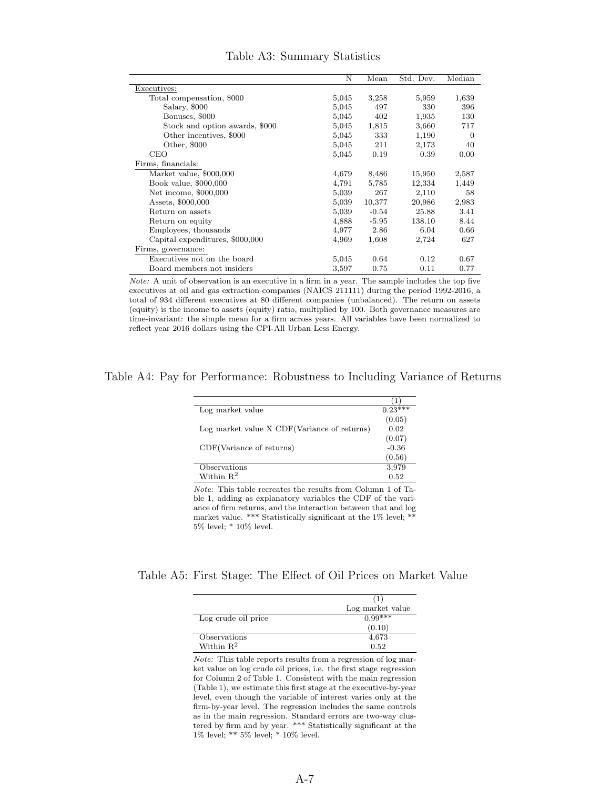|                                 | N     | Mean    | Std. Dev. | Median   |
|---------------------------------|-------|---------|-----------|----------|
| Executives:                     |       |         |           |          |
| Total compensation, \$000       | 5,045 | 3,258   | 5,959     | 1,639    |
| Salary, \$000                   | 5,045 | 497     | 330       | 396      |
| Bonuses, \$000                  | 5,045 | 402     | 1,935     | 130      |
| Stock and option awards, \$000  | 5,045 | 1,815   | 3,660     | 717      |
| Other incentives, \$000         | 5,045 | 333     | 1,190     | $\Omega$ |
| Other, \$000                    | 5,045 | 211     | 2,173     | 40       |
| CEO                             | 5,045 | 0.19    | 0.39      | 0.00     |
| Firms, financials:              |       |         |           |          |
| Market value, \$000,000         | 4,679 | 8,486   | 15,950    | 2,587    |
| Book value, \$000,000           | 4,791 | 5,785   | 12,334    | 1,449    |
| Net income, \$000,000           | 5,039 | 267     | 2,110     | 58       |
| Assets, \$000,000               | 5,039 | 10,377  | 20,986    | 2,983    |
| Return on assets                | 5,039 | $-0.54$ | 25.88     | 3.41     |
| Return on equity                | 4,888 | $-5.95$ | 138.10    | 8.44     |
| Employees, thousands            | 4,977 | 2.86    | 6.04      | 0.66     |
| Capital expenditures, \$000,000 | 4,969 | 1,608   | 2,724     | 627      |
| Firms, governance:              |       |         |           |          |
| Executives not on the board     | 5,045 | 0.64    | 0.12      | 0.67     |
| Board members not insiders      | 3,597 | 0.75    | 0.11      | 0.77     |

#### Table A3: Summary Statistics

Note: A unit of observation is an executive in a firm in a year. The sample includes the top five executives at oil and gas extraction companies (NAICS 211111) during the period 1992-2016, a total of 934 different executives at 80 different companies (unbalanced). The return on assets (equity) is the income to assets (equity) ratio, multiplied by 100. Both governance measures are time-invariant: the simple mean for a firm across years. All variables have been normalized to reflect year 2016 dollars using the CPI-All Urban Less Energy.

Table A4: Pay for Performance: Robustness to Including Variance of Returns

| Log market value                             | $0.23***$ |
|----------------------------------------------|-----------|
|                                              | (0.05)    |
| Log market value X CDF (Variance of returns) | 0.02      |
|                                              | (0.07)    |
| CDF(Variance of returns)                     | $-0.36$   |
|                                              | (0.56)    |
| Observations                                 | 3,979     |
| Within $\mathbb{R}^2$                        | 0.52      |
|                                              |           |

Note: This table recreates the results from Column 1 of Table 1, adding as explanatory variables the CDF of the variance of firm returns, and the interaction between that and log market value. \*\*\* Statistically significant at the 1% level; \*\* 5% level; \* 10% level.

#### Table A5: First Stage: The Effect of Oil Prices on Market Value

|                       | Log market value |
|-----------------------|------------------|
| Log crude oil price   | $0.99***$        |
|                       | (0.10)           |
| Observations          | 4,673            |
| Within $\mathbb{R}^2$ | 0.52             |

Note: This table reports results from a regression of log market value on log crude oil prices, i.e. the first stage regression for Column 2 of Table 1. Consistent with the main regression (Table 1), we estimate this first stage at the executive-by-year level, even though the variable of interest varies only at the firm-by-year level. The regression includes the same controls as in the main regression. Standard errors are two-way clustered by firm and by year. \*\*\* Statistically significant at the  $1\%$  level; \*\*  $5\%$  level; \* $10\%$  level.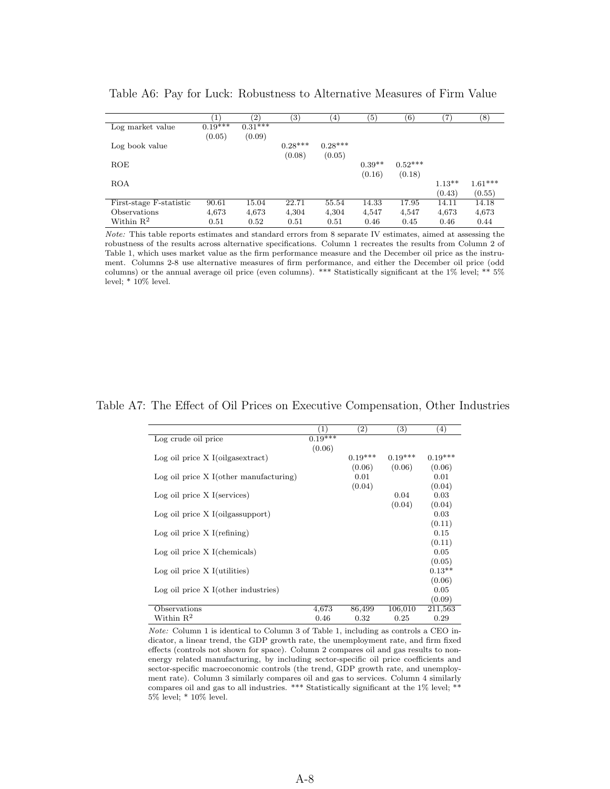|                         | $\left( 1\right)$ | (2)       | $\left( 3\right)$ | $\left(4\right)$ | $\left( 5\right)$ | $^{\rm (6)}$ | $\left( 7\right)$ | $^{(8)}$  |
|-------------------------|-------------------|-----------|-------------------|------------------|-------------------|--------------|-------------------|-----------|
| Log market value        | $0.19^{***}$      | $0.31***$ |                   |                  |                   |              |                   |           |
|                         | (0.05)            | (0.09)    |                   |                  |                   |              |                   |           |
| Log book value          |                   |           | $0.28***$         | $0.28***$        |                   |              |                   |           |
|                         |                   |           | (0.08)            | (0.05)           |                   |              |                   |           |
| ROE                     |                   |           |                   |                  | $0.39**$          | $0.52***$    |                   |           |
|                         |                   |           |                   |                  | (0.16)            | (0.18)       |                   |           |
| <b>ROA</b>              |                   |           |                   |                  |                   |              | $1.13**$          | $1.61***$ |
|                         |                   |           |                   |                  |                   |              | (0.43)            | (0.55)    |
| First-stage F-statistic | 90.61             | 15.04     | 22.71             | 55.54            | 14.33             | 17.95        | 14.11             | 14.18     |
| Observations            | 4,673             | 4,673     | 4,304             | 4,304            | 4,547             | 4,547        | 4,673             | 4,673     |
| Within $\mathbb{R}^2$   | 0.51              | 0.52      | 0.51              | 0.51             | 0.46              | 0.45         | 0.46              | 0.44      |

Table A6: Pay for Luck: Robustness to Alternative Measures of Firm Value

Note: This table reports estimates and standard errors from 8 separate IV estimates, aimed at assessing the robustness of the results across alternative specifications. Column 1 recreates the results from Column 2 of Table 1, which uses market value as the firm performance measure and the December oil price as the instrument. Columns 2-8 use alternative measures of firm performance, and either the December oil price (odd columns) or the annual average oil price (even columns). \*\*\* Statistically significant at the 1% level; \*\* 5% level;  $*10\%$  level.

#### Table A7: The Effect of Oil Prices on Executive Compensation, Other Industries

|                                            | $\left(1\right)$     | $\left( 2\right)$ | $\left(3\right)$ | (4)       |
|--------------------------------------------|----------------------|-------------------|------------------|-----------|
| Log crude oil price                        | $0.\overline{19***}$ |                   |                  |           |
|                                            | (0.06)               |                   |                  |           |
| $Log$ oil price $X$ I(oilgas extract)      |                      | $0.19***$         | $0.19***$        | $0.19***$ |
|                                            |                      | (0.06)            | (0.06)           | (0.06)    |
| $Log$ oil price $X$ I(other manufacturing) |                      | 0.01              |                  | 0.01      |
|                                            |                      | (0.04)            |                  | (0.04)    |
| $Log$ oil price $X$ I(services)            |                      |                   | 0.04             | 0.03      |
|                                            |                      |                   | (0.04)           | (0.04)    |
| $Log$ oil price $X$ I(oilgas support)      |                      |                   |                  | 0.03      |
|                                            |                      |                   |                  | (0.11)    |
| $Log$ oil price $X$ I(refining)            |                      |                   |                  | 0.15      |
|                                            |                      |                   |                  | (0.11)    |
| $Log$ oil price $X$ I(chemicals)           |                      |                   |                  | 0.05      |
|                                            |                      |                   |                  | (0.05)    |
| Log oil price $X$ I(utilities)             |                      |                   |                  | $0.13**$  |
|                                            |                      |                   |                  | (0.06)    |
| $Log$ oil price $X$ I(other industries)    |                      |                   |                  | 0.05      |
|                                            |                      |                   |                  | (0.09)    |
| Observations                               | 4,673                | 86,499            | 106,010          | 211,563   |
| Within $\mathbf{R}^2$                      | 0.46                 | 0.32              | 0.25             | 0.29      |

Note: Column 1 is identical to Column 3 of Table 1, including as controls a CEO indicator, a linear trend, the GDP growth rate, the unemployment rate, and firm fixed effects (controls not shown for space). Column 2 compares oil and gas results to nonenergy related manufacturing, by including sector-specific oil price coefficients and sector-specific macroeconomic controls (the trend, GDP growth rate, and unemployment rate). Column 3 similarly compares oil and gas to services. Column 4 similarly compares oil and gas to all industries. \*\*\* Statistically significant at the 1% level; \*\* 5% level; \* 10% level.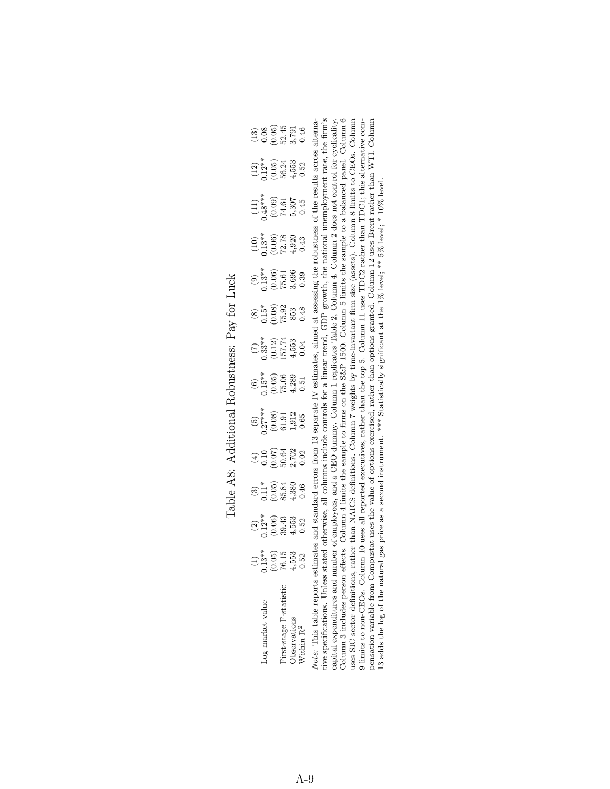|                                                                                                           |                                                                                                | $\widehat{\mathfrak{D}}$ | $\widehat{\mathfrak{B}}$                                                         |                                                                      |                                                                                                                                                                     |                                                                                    |                                                                                      |                                                          |                                                                  |                                                                                                            |                                                                                                     |                                                                                      | $\boxed{13}$                                                |
|-----------------------------------------------------------------------------------------------------------|------------------------------------------------------------------------------------------------|--------------------------|----------------------------------------------------------------------------------|----------------------------------------------------------------------|---------------------------------------------------------------------------------------------------------------------------------------------------------------------|------------------------------------------------------------------------------------|--------------------------------------------------------------------------------------|----------------------------------------------------------|------------------------------------------------------------------|------------------------------------------------------------------------------------------------------------|-----------------------------------------------------------------------------------------------------|--------------------------------------------------------------------------------------|-------------------------------------------------------------|
| Log market value                                                                                          |                                                                                                | $0.12**$                 |                                                                                  |                                                                      |                                                                                                                                                                     |                                                                                    |                                                                                      |                                                          |                                                                  |                                                                                                            |                                                                                                     |                                                                                      |                                                             |
|                                                                                                           | $\frac{13*}{13*30}$<br>$\frac{13}{16}$<br>$\frac{15}{15}$<br>$\frac{53}{15}$<br>$\frac{3}{15}$ | $\frac{(0.06)}{39.43}$   | $\frac{11*}{(0.05)}$<br>$\frac{(0.05)}{85.81}$<br>$\frac{4}{9}$<br>$\frac{4}{9}$ | $\frac{(4)}{0.10}$<br>$\frac{(0.07)}{50.64}$<br>$\frac{2702}{2,702}$ | $\begin{array}{r} (5) \\ \hline 0.27*** \\ (0.08) \\ (0.09) \\ \hline 61.91 \\ 1.912 \\ 0.65 \end{array}$                                                           | $\begin{array}{c} (6)\\ \hline 0.15^{**}\\ (0.05)\\ 75.06\\ 4,289\\ 1 \end{array}$ | $\begin{array}{c} (7) \\ 0.33^{**} \\ (0.12) \\ 157.74 \\ 4,553 \\ 0.04 \end{array}$ | $\frac{(0.08)}{15.92}$<br>$\frac{(0.08)}{15.93}$<br>0.48 | $\frac{(9)}{0.13**}$<br>$\frac{(0.06)}{75.61}$<br>3,696<br>3,690 | $\begin{array}{c}\n\begin{array}{c}\n(10) \\ \hline\n0.13** \\ (0.06) \\ 72.78\n\end{array}\\ \end{array}$ | $\begin{array}{c} (11) \\ \hline 0.48** \\ (0.09) \\ \hline 74.61 \\ 5,307 \\ 5,307 \\ \end{array}$ | $\begin{array}{c} (12) \\ 0.12^{**} \\ (0.05) \\ 56.24 \\ 4,553 \\ 0.52 \end{array}$ | $\frac{(0.05)}{(0.05)}$<br>$\frac{(0.05)}{52.45}$<br>$0.46$ |
| Tirst-stage F-statistic                                                                                   |                                                                                                |                          |                                                                                  |                                                                      |                                                                                                                                                                     |                                                                                    |                                                                                      |                                                          |                                                                  |                                                                                                            |                                                                                                     |                                                                                      |                                                             |
| <b>bservations</b>                                                                                        |                                                                                                | $4,553$<br>0.52          |                                                                                  |                                                                      |                                                                                                                                                                     |                                                                                    |                                                                                      |                                                          |                                                                  |                                                                                                            |                                                                                                     |                                                                                      |                                                             |
| Within R <sup>2</sup>                                                                                     |                                                                                                |                          |                                                                                  |                                                                      |                                                                                                                                                                     |                                                                                    |                                                                                      |                                                          |                                                                  |                                                                                                            |                                                                                                     |                                                                                      |                                                             |
| Vote: This table reports estimates and standard errors fi<br>ive specifications. Unless stated otherwise, |                                                                                                |                          |                                                                                  |                                                                      | all columns include controls for a linear trend, GDP growth, the national unemployment rate, the firm's<br>from 13 separate IV estimates, aimed at assessing the ro |                                                                                    |                                                                                      |                                                          |                                                                  |                                                                                                            | obustness of the results across alterna-                                                            |                                                                                      |                                                             |

Table A8: Additional Robustness: Pay for Luck Table A8: Additional Robustness: Pay for Luck

capital expenditures and number of employees, and a CBO dummy. Column 1 replicates Table 2, Column 4. Column 2 does not control for cyclicality.<br>Column 3 includes person effects. Column 4 limits the sample to firms on the Column 3 includes person effects. Column 4 limits the sample to firms on the S&P 1500. Column 5 limits the sample to a balanced panel. Column 6 capital expenditures and number of employees, and a CEO dummy. Column 1 replicates Table 2, Column 4. Column 2 does not control for cyclicality. uses SIC sector definitions, rather than NAICS definitions. Column 7 weights by time-invariant firm size (assets). Column 8 limits to CEOs. Column 9 limits to non-CEOs. Column 10 uses all reported executives, rather than the top 5. Column 11 uses TDC2 rather than TDC1; this alternative compensation variable from Compustat uses the value of options exercised, rather than options granted. Column 12 uses Brent rather than WTI. Column 13 adds the log of the natural gas price as a second instrument. \*\*\* Statistically significant at the 1% level; \*\* 5% level; \* 10% level.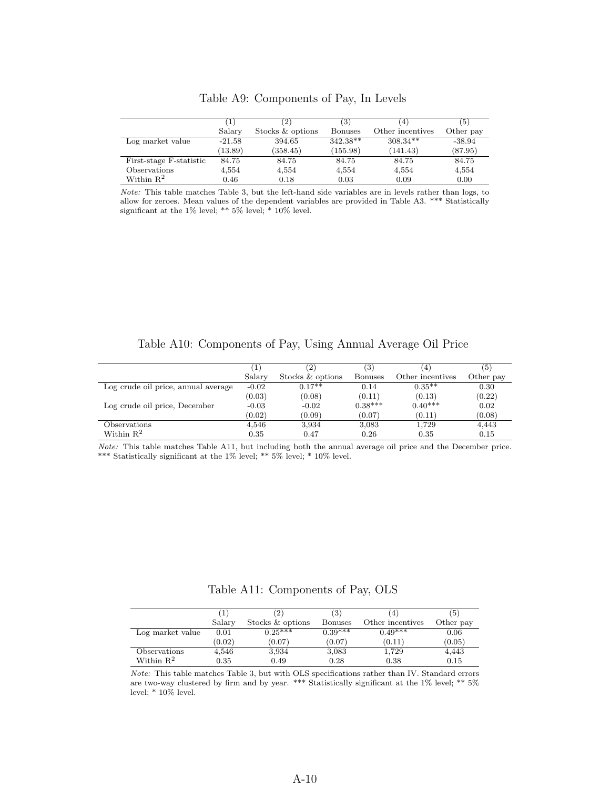|                         | $\mathbf{1}$ | $\left( 2\right)$ | (3)        | 4'               | (5)       |
|-------------------------|--------------|-------------------|------------|------------------|-----------|
|                         | Salary       | Stocks & options  | Bonuses    | Other incentives | Other pay |
| Log market value        | $-21.58$     | 394.65            | $342.38**$ | $308.34**$       | $-38.94$  |
|                         | (13.89)      | (358.45)          | (155.98)   | (141.43)         | (87.95)   |
| First-stage F-statistic | 84.75        | 84.75             | 84.75      | 84.75            | 84.75     |
| Observations            | 4,554        | 4,554             | 4,554      | 4,554            | 4,554     |
| Within $\mathbb{R}^2$   | 0.46         | 0.18              | 0.03       | 0.09             | 0.00      |

Table A9: Components of Pay, In Levels

Note: This table matches Table 3, but the left-hand side variables are in levels rather than logs, to allow for zeroes. Mean values of the dependent variables are provided in Table A3. \*\*\* Statistically significant at the 1% level; \*\*  $5\%$  level; \*  $10\%$  level.

Table A10: Components of Pay, Using Annual Average Oil Price

|                                     | $^{\prime}1$ | $^{(2)}$         | (3)            | $\left( 4\right)$ | (5)       |
|-------------------------------------|--------------|------------------|----------------|-------------------|-----------|
|                                     | Salary       | Stocks & options | <b>Bonuses</b> | Other incentives  | Other pay |
| Log crude oil price, annual average | $-0.02$      | $0.17**$         | 0.14           | $0.35**$          | 0.30      |
|                                     | (0.03)       | (0.08)           | (0.11)         | (0.13)            | (0.22)    |
| Log crude oil price, December       | $-0.03$      | $-0.02$          | $0.38***$      | $0.40***$         | 0.02      |
|                                     | (0.02)       | (0.09)           | (0.07)         | (0.11)            | (0.08)    |
| Observations                        | 4,546        | 3,934            | 3,083          | 1,729             | 4,443     |
| Within $\mathbb{R}^2$               | 0.35         | 0.47             | 0.26           | 0.35              | 0.15      |

Note: This table matches Table A11, but including both the annual average oil price and the December price. \*\*\* Statistically significant at the 1% level; \*\* 5% level; \* 10% level.

Table A11: Components of Pay, OLS

|                       |        |                  | (3)            | 4                | ΄5΄       |
|-----------------------|--------|------------------|----------------|------------------|-----------|
|                       | Salarv | Stocks & options | <b>Bonuses</b> | Other incentives | Other pay |
| Log market value      | 0.01   | $0.25***$        | $0.39***$      | $0.49***$        | 0.06      |
|                       | (0.02) | (0.07)           | (0.07)         | (0.11)           | (0.05)    |
| Observations          | 4,546  | 3,934            | 3,083          | 1,729            | 4,443     |
| Within $\mathbb{R}^2$ | 0.35   | 0.49             | 0.28           | 0.38             | 0.15      |

Note: This table matches Table 3, but with OLS specifications rather than IV. Standard errors are two-way clustered by firm and by year. \*\*\* Statistically significant at the 1% level; \*\* 5% level;  $*10\%$  level.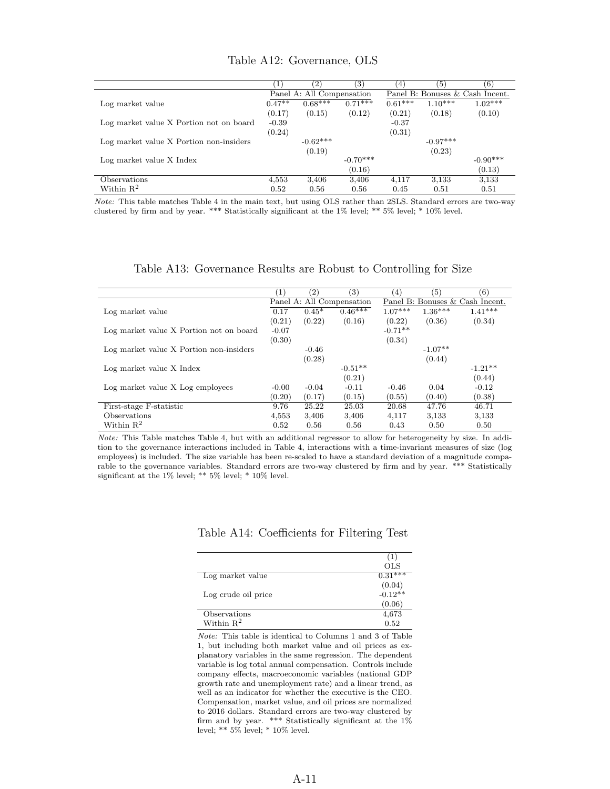|                                         |          | (2)                       | 3)         | $\left(4\right)$ | (5)        | (6)                             |
|-----------------------------------------|----------|---------------------------|------------|------------------|------------|---------------------------------|
|                                         |          | Panel A: All Compensation |            |                  |            | Panel B: Bonuses & Cash Incent. |
| Log market value                        | $0.47**$ | $0.68***$                 | $0.71***$  | $0.61***$        | $1.10***$  | $1.02***$                       |
|                                         | (0.17)   | (0.15)                    | (0.12)     | (0.21)           | (0.18)     | (0.10)                          |
| Log market value X Portion not on board | $-0.39$  |                           |            | $-0.37$          |            |                                 |
|                                         | (0.24)   |                           |            | (0.31)           |            |                                 |
| Log market value X Portion non-insiders |          | $-0.62***$                |            |                  | $-0.97***$ |                                 |
|                                         |          | (0.19)                    |            |                  | (0.23)     |                                 |
| Log market value X Index                |          |                           | $-0.70***$ |                  |            | $-0.90***$                      |
|                                         |          |                           | (0.16)     |                  |            | (0.13)                          |
| Observations                            | 4,553    | 3,406                     | 3,406      | 4,117            | 3,133      | 3,133                           |
| Within $R^2$                            | 0.52     | 0.56                      | 0.56       | 0.45             | 0.51       | 0.51                            |

Table A12: Governance, OLS

Note: This table matches Table 4 in the main text, but using OLS rather than 2SLS. Standard errors are two-way clustered by firm and by year. \*\*\* Statistically significant at the 1% level; \*\* 5% level; \* 10% level.

#### Table A13: Governance Results are Robust to Controlling for Size

|                                         | $\left\lceil 1\right\rceil$ | $\left( 2\right)$ | $\left( 3\right)$         | (4)       | 5)        | (6)                             |
|-----------------------------------------|-----------------------------|-------------------|---------------------------|-----------|-----------|---------------------------------|
|                                         |                             |                   | Panel A: All Compensation |           |           | Panel B: Bonuses & Cash Incent. |
| Log market value                        | 0.17                        | $0.45*$           | $0.46***$                 | $1.07***$ | $1.36***$ | $1.41***$                       |
|                                         | (0.21)                      | (0.22)            | (0.16)                    | (0.22)    | (0.36)    | (0.34)                          |
| Log market value X Portion not on board | $-0.07$                     |                   |                           | $-0.71**$ |           |                                 |
|                                         | (0.30)                      |                   |                           | (0.34)    |           |                                 |
| Log market value X Portion non-insiders |                             | $-0.46$           |                           |           | $-1.07**$ |                                 |
|                                         |                             | (0.28)            |                           |           | (0.44)    |                                 |
| Log market value X Index                |                             |                   | $-0.51**$                 |           |           | $-1.21**$                       |
|                                         |                             |                   | (0.21)                    |           |           | (0.44)                          |
| Log market value X Log employees        | $-0.00$                     | $-0.04$           | $-0.11$                   | $-0.46$   | 0.04      | $-0.12$                         |
|                                         | (0.20)                      | (0.17)            | (0.15)                    | (0.55)    | (0.40)    | (0.38)                          |
| First-stage F-statistic                 | 9.76                        | 25.22             | 25.03                     | 20.68     | 47.76     | 46.71                           |
| Observations                            | 4,553                       | 3,406             | 3,406                     | 4,117     | 3,133     | 3,133                           |
| Within $\mathbb{R}^2$                   | 0.52                        | 0.56              | 0.56                      | 0.43      | 0.50      | 0.50                            |

Note: This Table matches Table 4, but with an additional regressor to allow for heterogeneity by size. In addition to the governance interactions included in Table 4, interactions with a time-invariant measures of size (log employees) is included. The size variable has been re-scaled to have a standard deviation of a magnitude comparable to the governance variables. Standard errors are two-way clustered by firm and by year. \*\*\* Statistically significant at the 1% level; \*\* 5% level; \* 10% level.

|  | Table A14: Coefficients for Filtering Test |  |  |  |
|--|--------------------------------------------|--|--|--|
|--|--------------------------------------------|--|--|--|

|                       | ( L<br><b>OLS</b>     |
|-----------------------|-----------------------|
| Log market value      | $0.31***$             |
|                       | $(0.04)$<br>$-0.12**$ |
| Log crude oil price   |                       |
|                       | (0.06)                |
| Observations          | 4,673                 |
| Within $\mathbb{R}^2$ | 0.52                  |

Note: This table is identical to Columns 1 and 3 of Table 1, but including both market value and oil prices as explanatory variables in the same regression. The dependent variable is log total annual compensation. Controls include company effects, macroeconomic variables (national GDP growth rate and unemployment rate) and a linear trend, as well as an indicator for whether the executive is the CEO. Compensation, market value, and oil prices are normalized to 2016 dollars. Standard errors are two-way clustered by firm and by year. \*\*\* Statistically significant at the 1% level; \*\* 5% level; \* 10% level.